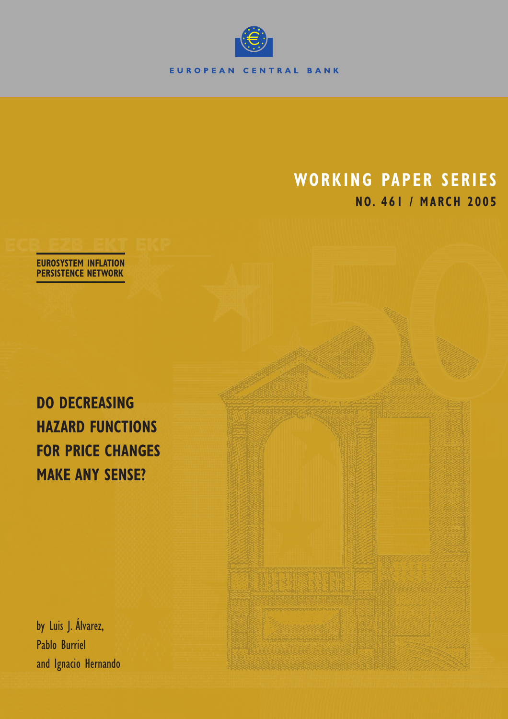

# **WORKING PAPER SERIES NO. 461 / MARCH 2005**

**EUROSYSTEM INFLATION PERSISTENCE NETWORK**

**DO DECREASING HAZARD FUNCTIONS FOR PRICE CHANGES MAKE ANY SENSE?**

by Luis J. Álvarez, Pablo Burriel and Ignacio Hernando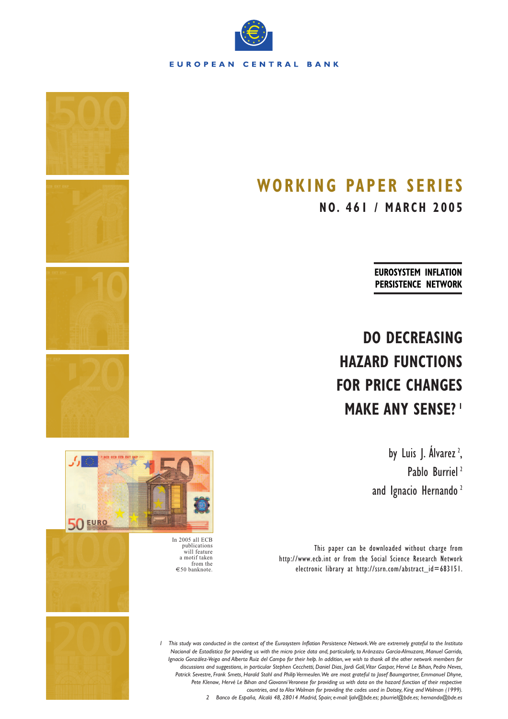

# **WORKING PAPER SERIES**

**NO. 461 / MARCH 2005**

**EUROSYSTEM INFLATION PERSISTENCE NETWORK**

# **DO DECREASING HAZARD FUNCTIONS FOR PRICE CHANGES MAKE ANY SENSE? <sup>1</sup>**

by Luis J. Álvarez<sup>2</sup>, , Pablo Burriel<sup>2</sup> and Ignacio Hernando<sup>2</sup>

This paper can be downloaded without charge from http://www.ecb.int or from the Social Science Research Network electronic library at http://ssrn.com/abstract\_id=683151.





publications will feature a motif taken from the €50 banknote.



*Nacional de Estadística for providing us with the micro price data and, particularly, to Aránzazu García-Almuzara, Manuel Garrido, Ignacio González-Veiga and Alberta Ruiz del Campo for their help. In addition, we wish to thank all the other network members for Patrick Sevestre, Frank Smets, Harald Stahl and Philip Vermeulen.We are most grateful to Josef Baumgartner, Emmanuel Dhyne, countries, and to Alex Wolman for providing the codes used in Dotsey, King and Wolman (1999). discussions and suggestions, in particular Stephen Cecchetti, Daniel Dias, Jordi Galí,Vítor Gaspar, Hervé Le Bihan, Pedro Neves, 2 Banco de España, Alcalá 48, 28014 Madrid, Spain; e-mail: ljalv@bde.es; pburriel@bde.es; hernando@bde.es Pete Klenow, Hervé Le Bihan and Giovanni Veronese for providing us with data on the hazard function of their respective 1 This study was conducted in the context of the Eurosystem Inflation Persistence Network.We are extremely grateful to the Instituto*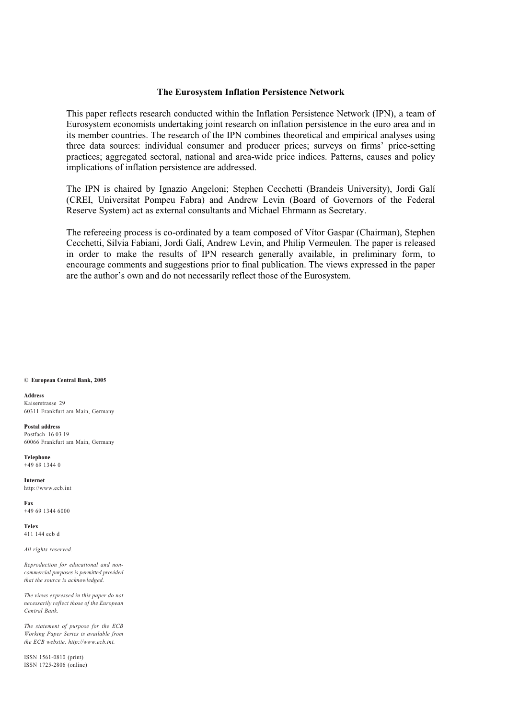#### **The Eurosystem Inflation Persistence Network**

This paper reflects research conducted within the Inflation Persistence Network (IPN), a team of Eurosystem economists undertaking joint research on inflation persistence in the euro area and in its member countries. The research of the IPN combines theoretical and empirical analyses using three data sources: individual consumer and producer prices; surveys on firms' price-setting practices; aggregated sectoral, national and area-wide price indices. Patterns, causes and policy implications of inflation persistence are addressed.

The IPN is chaired by Ignazio Angeloni; Stephen Cecchetti (Brandeis University), Jordi Galí (CREI, Universitat Pompeu Fabra) and Andrew Levin (Board of Governors of the Federal Reserve System) act as external consultants and Michael Ehrmann as Secretary.

The refereeing process is co-ordinated by a team composed of Vítor Gaspar (Chairman), Stephen Cecchetti, Silvia Fabiani, Jordi Galí, Andrew Levin, and Philip Vermeulen. The paper is released in order to make the results of IPN research generally available, in preliminary form, to encourage comments and suggestions prior to final publication. The views expressed in the paper are the author's own and do not necessarily reflect those of the Eurosystem.

#### **© European Central Bank, 2005**

**Address** Kaiserstrasse 29 60311 Frankfurt am Main, Germany

**Postal address** Postfach 16 03 19 60066 Frankfurt am Main, Germany

**Telephone** +49 69 1344 0

**Internet** http://www.ecb.int

**Fax** +49 69 1344 6000

**Telex** 411 144 ecb d

*All rights reserved.*

*Reproduction for educational and noncommercial purposes is permitted provided that the source is acknowledged.*

*The views expressed in this paper do not necessarily reflect those of the European Central Bank.*

*The statement of purpose for the ECB Working Paper Series is available from the ECB website, http://www.ecb.int.*

ISSN 1561-0810 (print) ISSN 1725-2806 (online)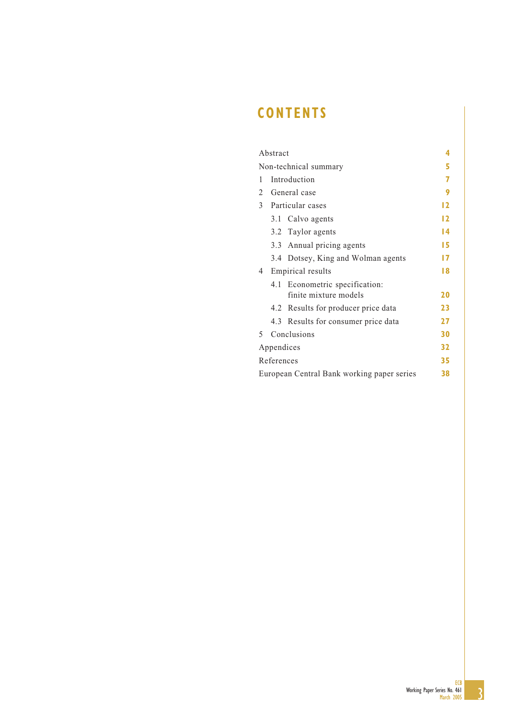# **CONTENTS**

|                                    | Abstract   |                                            | 4  |  |  |  |  |
|------------------------------------|------------|--------------------------------------------|----|--|--|--|--|
|                                    |            | Non-technical summary                      | 5  |  |  |  |  |
| Introduction<br>1                  |            |                                            |    |  |  |  |  |
| General case<br>$\mathcal{L}$      |            |                                            |    |  |  |  |  |
| $\mathfrak{Z}$<br>Particular cases |            |                                            |    |  |  |  |  |
|                                    |            | 3.1 Calvo agents                           | 12 |  |  |  |  |
|                                    |            | 3.2 Taylor agents                          | 14 |  |  |  |  |
|                                    |            | 3.3 Annual pricing agents                  | 15 |  |  |  |  |
|                                    |            | 3.4 Dotsey, King and Wolman agents         | 17 |  |  |  |  |
| 4                                  |            | Empirical results                          | 18 |  |  |  |  |
|                                    | 4.1        | Econometric specification:                 |    |  |  |  |  |
|                                    |            | finite mixture models                      | 20 |  |  |  |  |
|                                    |            | 4.2 Results for producer price data        | 23 |  |  |  |  |
|                                    |            | 4.3 Results for consumer price data        | 27 |  |  |  |  |
| 5.                                 |            | Conclusions                                | 30 |  |  |  |  |
|                                    | Appendices |                                            | 32 |  |  |  |  |
|                                    | References |                                            | 35 |  |  |  |  |
|                                    |            | European Central Bank working paper series | 38 |  |  |  |  |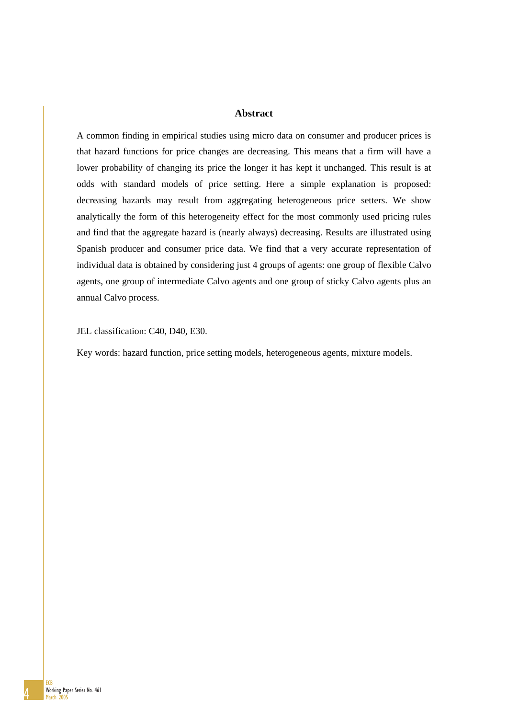### **Abstract**

A common finding in empirical studies using micro data on consumer and producer prices is that hazard functions for price changes are decreasing. This means that a firm will have a lower probability of changing its price the longer it has kept it unchanged. This result is at odds with standard models of price setting. Here a simple explanation is proposed: decreasing hazards may result from aggregating heterogeneous price setters. We show analytically the form of this heterogeneity effect for the most commonly used pricing rules and find that the aggregate hazard is (nearly always) decreasing. Results are illustrated using Spanish producer and consumer price data. We find that a very accurate representation of individual data is obtained by considering just 4 groups of agents: one group of flexible Calvo agents, one group of intermediate Calvo agents and one group of sticky Calvo agents plus an annual Calvo process.

JEL classification: C40, D40, E30.

Key words: hazard function, price setting models, heterogeneous agents, mixture models.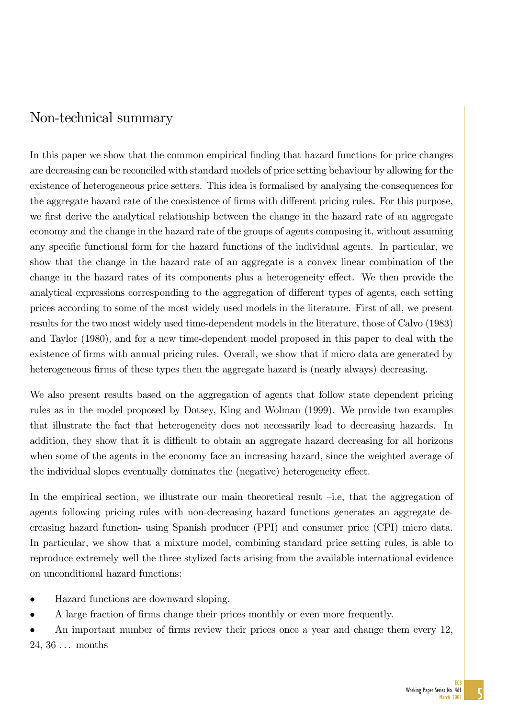# Non-technical summary

In this paper we show that the common empirical finding that hazard functions for price changes are decreasing can be reconciled with standard models of price setting behaviour by allowing for the existence of heterogeneous price setters. This idea is formalised by analysing the consequences for the aggregate hazard rate of the coexistence of firms with different pricing rules. For this purpose, we first derive the analytical relationship between the change in the hazard rate of an aggregate economy and the change in the hazard rate of the groups of agents composing it, without assuming any specific functional form for the hazard functions of the individual agents. In particular, we show that the change in the hazard rate of an aggregate is a convex linear combination of the change in the hazard rates of its components plus a heterogeneity effect. We then provide the analytical expressions corresponding to the aggregation of different types of agents, each setting prices according to some of the most widely used models in the literature. First of all, we present results for the two most widely used time-dependent models in the literature, those of Calvo (1983) and Taylor (1980), and for a new time-dependent model proposed in this paper to deal with the existence of firms with annual pricing rules. Overall, we show that if micro data are generated by heterogeneous firms of these types then the aggregate hazard is (nearly always) decreasing.

We also present results based on the aggregation of agents that follow state dependent pricing rules as in the model proposed by Dotsey, King and Wolman (1999). We provide two examples that illustrate the fact that heterogeneity does not necessarily lead to decreasing hazards. In addition, they show that it is difficult to obtain an aggregate hazard decreasing for all horizons when some of the agents in the economy face an increasing hazard, since the weighted average of the individual slopes eventually dominates the (negative) heterogeneity effect.

In the empirical section, we illustrate our main theoretical result  $-i.e$ , that the aggregation of agents following pricing rules with non-decreasing hazard functions generates an aggregate decreasing hazard function- using Spanish producer (PPI) and consumer price (CPI) micro data. In particular, we show that a mixture model, combining standard price setting rules, is able to reproduce extremely well the three stylized facts arising from the available international evidence on unconditional hazard functions:

- Hazard functions are downward sloping.
- A large fraction of firms change their prices monthly or even more frequently.
- An important number of firms review their prices once a year and change them every 12,  $24, 36 \ldots$  months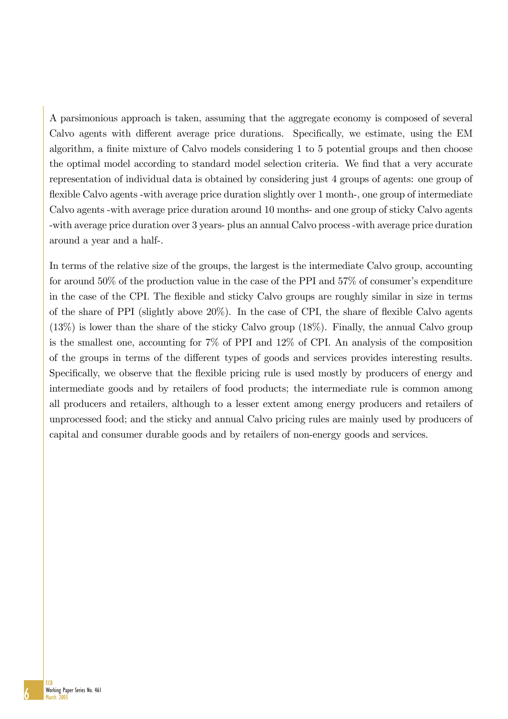A parsimonious approach is taken, assuming that the aggregate economy is composed of several Calvo agents with different average price durations. Specifically, we estimate, using the EM algorithm, a finite mixture of Calvo models considering  $1$  to  $5$  potential groups and then choose the optimal model according to standard model selection criteria. We find that a very accurate representation of individual data is obtained by considering just 4 groups of agents: one group of flexible Calvo agents -with average price duration slightly over 1 month-, one group of intermediate Calvo agents -with average price duration around 10 months- and one group of sticky Calvo agents -with average price duration over 3 years- plus an annual Calvo process -with average price duration around a year and a half-.

In terms of the relative size of the groups, the largest is the intermediate Calvo group, accounting for around  $50\%$  of the production value in the case of the PPI and  $57\%$  of consumer's expenditure in the case of the CPI. The flexible and sticky Calvo groups are roughly similar in size in terms of the share of PPI (slightly above  $20\%$ ). In the case of CPI, the share of flexible Calvo agents (13%) is lower than the share of the sticky Calvo group (18%). Finally, the annual Calvo group is the smallest one, accounting for 7% of PPI and 12% of CPI. An analysis of the composition of the groups in terms of the different types of goods and services provides interesting results. Specifically, we observe that the flexible pricing rule is used mostly by producers of energy and intermediate goods and by retailers of food products; the intermediate rule is common among all producers and retailers, although to a lesser extent among energy producers and retailers of unprocessed food; and the sticky and annual Calvo pricing rules are mainly used by producers of capital and consumer durable goods and by retailers of non-energy goods and services.

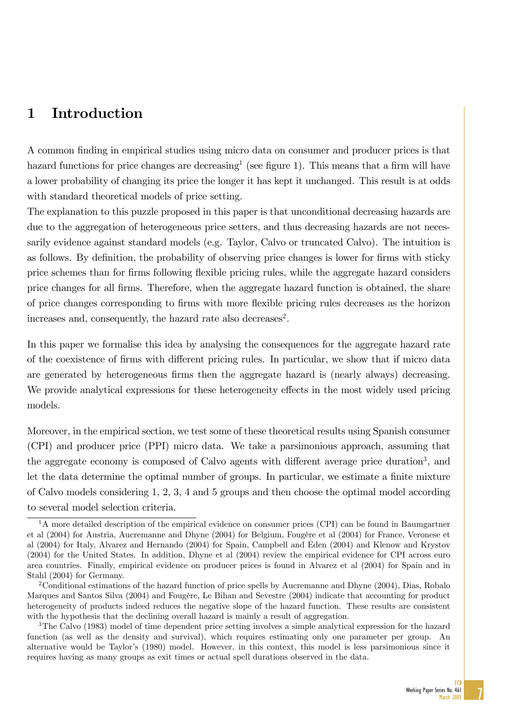# 1 Introduction

A common finding in empirical studies using micro data on consumer and producer prices is that hazard functions for price changes are decreasing<sup>1</sup> (see figure 1). This means that a firm will have a lower probability of changing its price the longer it has kept it unchanged. This result is at odds with standard theoretical models of price setting.

The explanation to this puzzle proposed in this paper is that unconditional decreasing hazards are due to the aggregation of heterogeneous price setters, and thus decreasing hazards are not necessarily evidence against standard models (e.g. Taylor, Calvo or truncated Calvo). The intuition is as follows. By definition, the probability of observing price changes is lower for firms with sticky price schemes than for Örms following áexible pricing rules, while the aggregate hazard considers price changes for all firms. Therefore, when the aggregate hazard function is obtained, the share of price changes corresponding to Örms with more áexible pricing rules decreases as the horizon increases and, consequently, the hazard rate also decreases<sup>2</sup>.

In this paper we formalise this idea by analysing the consequences for the aggregate hazard rate of the coexistence of firms with different pricing rules. In particular, we show that if micro data are generated by heterogeneous firms then the aggregate hazard is (nearly always) decreasing. We provide analytical expressions for these heterogeneity effects in the most widely used pricing models.

Moreover, in the empirical section, we test some of these theoretical results using Spanish consumer (CPI) and producer price (PPI) micro data. We take a parsimonious approach, assuming that the aggregate economy is composed of Calvo agents with different average price duration<sup>3</sup>, and let the data determine the optimal number of groups. In particular, we estimate a finite mixture of Calvo models considering 1, 2, 3, 4 and 5 groups and then choose the optimal model according to several model selection criteria.

 $1A$  more detailed description of the empirical evidence on consumer prices (CPI) can be found in Baumgartner et al (2004) for Austria, Aucremanne and Dhyne (2004) for Belgium, Fougère et al (2004) for France, Veronese et al (2004) for Italy, Alvarez and Hernando (2004) for Spain, Campbell and Eden (2004) and Klenow and Krystov (2004) for the United States. In addition, Dhyne et al (2004) review the empirical evidence for CPI across euro area countries. Finally, empirical evidence on producer prices is found in Alvarez et al (2004) for Spain and in Stahl (2004) for Germany.

<sup>&</sup>lt;sup>2</sup>Conditional estimations of the hazard function of price spells by Aucremanne and Dhyne (2004), Dias, Robalo Marques and Santos Silva (2004) and Fougère, Le Bihan and Sevestre (2004) indicate that accounting for product heterogeneity of products indeed reduces the negative slope of the hazard function. These results are consistent with the hypothesis that the declining overall hazard is mainly a result of aggregation.

<sup>&</sup>lt;sup>3</sup>The Calvo (1983) model of time dependent price setting involves a simple analytical expression for the hazard function (as well as the density and survival), which requires estimating only one parameter per group. An alternative would be Taylor's (1980) model. However, in this context, this model is less parsimonious since it requires having as many groups as exit times or actual spell durations observed in the data.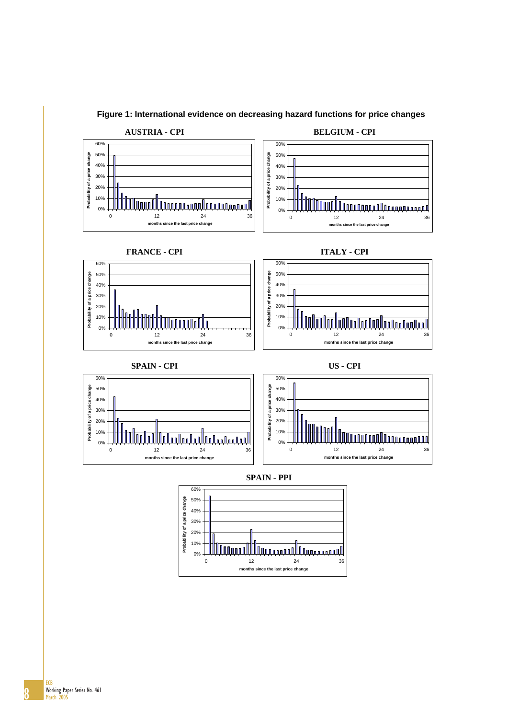

**Figure 1: International evidence on decreasing hazard functions for price changes**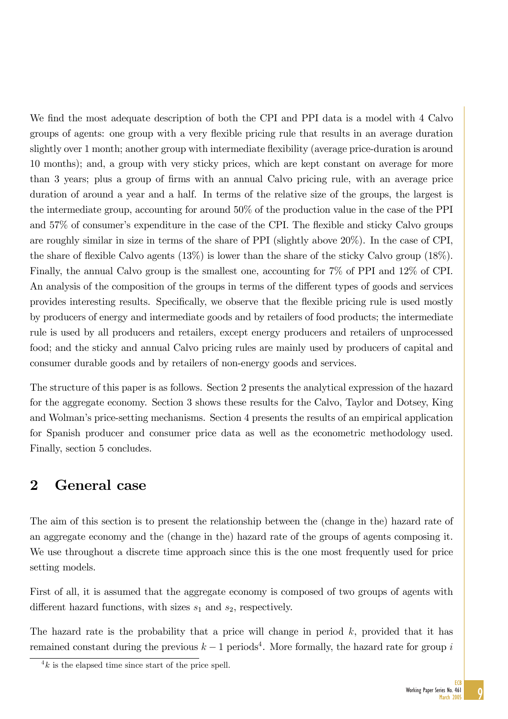We find the most adequate description of both the CPI and PPI data is a model with 4 Calvo groups of agents: one group with a very flexible pricing rule that results in an average duration slightly over 1 month; another group with intermediate flexibility (average price-duration is around 10 months); and, a group with very sticky prices, which are kept constant on average for more than 3 years; plus a group of Örms with an annual Calvo pricing rule, with an average price duration of around a year and a half. In terms of the relative size of the groups, the largest is the intermediate group, accounting for around 50% of the production value in the case of the PPI and 57% of consumer's expenditure in the case of the CPI. The flexible and sticky Calvo groups are roughly similar in size in terms of the share of PPI (slightly above 20%). In the case of CPI, the share of flexible Calvo agents  $(13\%)$  is lower than the share of the sticky Calvo group  $(18\%)$ . Finally, the annual Calvo group is the smallest one, accounting for 7% of PPI and 12% of CPI. An analysis of the composition of the groups in terms of the different types of goods and services provides interesting results. Specifically, we observe that the flexible pricing rule is used mostly by producers of energy and intermediate goods and by retailers of food products; the intermediate rule is used by all producers and retailers, except energy producers and retailers of unprocessed food; and the sticky and annual Calvo pricing rules are mainly used by producers of capital and consumer durable goods and by retailers of non-energy goods and services.

The structure of this paper is as follows. Section 2 presents the analytical expression of the hazard for the aggregate economy. Section 3 shows these results for the Calvo, Taylor and Dotsey, King and Wolman's price-setting mechanisms. Section 4 presents the results of an empirical application for Spanish producer and consumer price data as well as the econometric methodology used. Finally, section 5 concludes.

# 2 General case

The aim of this section is to present the relationship between the (change in the) hazard rate of an aggregate economy and the (change in the) hazard rate of the groups of agents composing it. We use throughout a discrete time approach since this is the one most frequently used for price setting models.

First of all, it is assumed that the aggregate economy is composed of two groups of agents with different hazard functions, with sizes  $s_1$  and  $s_2$ , respectively.

The hazard rate is the probability that a price will change in period  $k$ , provided that it has remained constant during the previous  $k-1$  periods<sup>4</sup>. More formally, the hazard rate for group i

 $4k$  is the elapsed time since start of the price spell.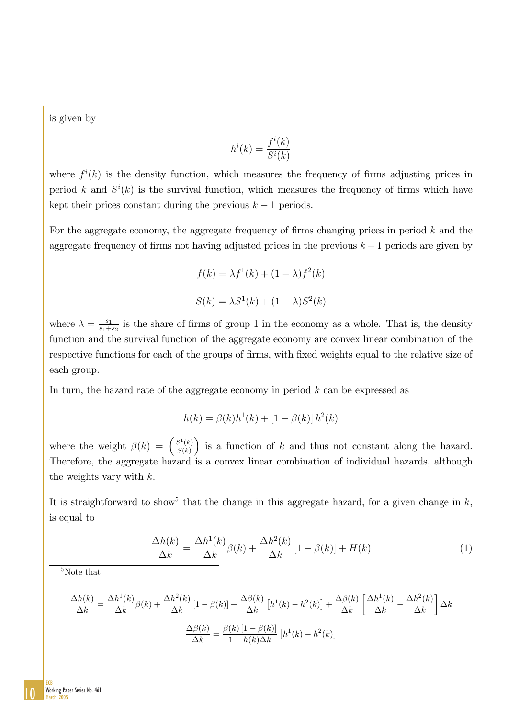is given by

$$
h^i(k) = \frac{f^i(k)}{S^i(k)}
$$

where  $f^i(k)$  is the density function, which measures the frequency of firms adjusting prices in period k and  $S^{i}(k)$  is the survival function, which measures the frequency of firms which have kept their prices constant during the previous  $k-1$  periods.

For the aggregate economy, the aggregate frequency of firms changing prices in period  $k$  and the aggregate frequency of firms not having adjusted prices in the previous  $k - 1$  periods are given by

$$
f(k) = \lambda f^{1}(k) + (1 - \lambda)f^{2}(k)
$$

$$
S(k) = \lambda S^{1}(k) + (1 - \lambda)S^{2}(k)
$$

where  $\lambda = \frac{s_1}{s_1 + s_2}$  $\frac{s_1}{s_1+s_2}$  is the share of firms of group 1 in the economy as a whole. That is, the density function and the survival function of the aggregate economy are convex linear combination of the respective functions for each of the groups of firms, with fixed weights equal to the relative size of each group.

In turn, the hazard rate of the aggregate economy in period k can be expressed as

$$
h(k) = \beta(k)h^{1}(k) + [1 - \beta(k)]h^{2}(k)
$$

where the weight  $\beta(k) = \left(\frac{S^1(k)}{S(k)}\right)^2$  $S(k)$ is a function of  $k$  and thus not constant along the hazard. Therefore, the aggregate hazard is a convex linear combination of individual hazards, although the weights vary with  $k$ .

It is straightforward to show<sup>5</sup> that the change in this aggregate hazard, for a given change in  $k$ , is equal to

$$
\frac{\Delta h(k)}{\Delta k} = \frac{\Delta h^1(k)}{\Delta k} \beta(k) + \frac{\Delta h^2(k)}{\Delta k} [1 - \beta(k)] + H(k)
$$
\n(1)

<sup>5</sup>Note that

$$
\frac{\Delta h(k)}{\Delta k} = \frac{\Delta h^1(k)}{\Delta k} \beta(k) + \frac{\Delta h^2(k)}{\Delta k} \left[1 - \beta(k)\right] + \frac{\Delta \beta(k)}{\Delta k} \left[h^1(k) - h^2(k)\right] + \frac{\Delta \beta(k)}{\Delta k} \left[\frac{\Delta h^1(k)}{\Delta k} - \frac{\Delta h^2(k)}{\Delta k}\right] \Delta k
$$

$$
\frac{\Delta \beta(k)}{\Delta k} = \frac{\beta(k) \left[1 - \beta(k)\right]}{1 - h(k) \Delta k} \left[h^1(k) - h^2(k)\right]
$$

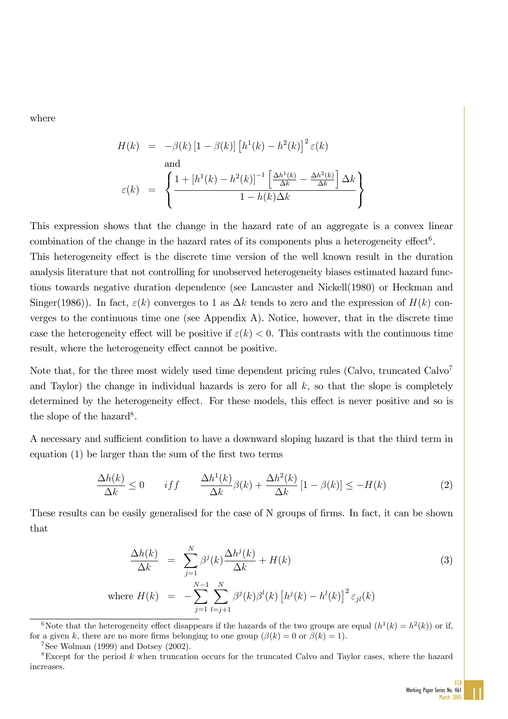where

$$
H(k) = -\beta(k) \left[ 1 - \beta(k) \right] \left[ h^1(k) - h^2(k) \right]^2 \varepsilon(k)
$$
  
and  

$$
\varepsilon(k) = \left\{ \frac{1 + \left[ h^1(k) - h^2(k) \right]^{-1} \left[ \frac{\Delta h^1(k)}{\Delta k} - \frac{\Delta h^2(k)}{\Delta k} \right] \Delta k}{1 - h(k) \Delta k} \right\}
$$

This expression shows that the change in the hazard rate of an aggregate is a convex linear combination of the change in the hazard rates of its components plus a heterogeneity effect<sup>6</sup>.

This heterogeneity effect is the discrete time version of the well known result in the duration analysis literature that not controlling for unobserved heterogeneity biases estimated hazard functions towards negative duration dependence (see Lancaster and Nickell(1980) or Heckman and Singer(1986)). In fact,  $\varepsilon(k)$  converges to 1 as  $\Delta k$  tends to zero and the expression of  $H(k)$  converges to the continuous time one (see Appendix A). Notice, however, that in the discrete time case the heterogeneity effect will be positive if  $\varepsilon(k) < 0$ . This contrasts with the continuous time result, where the heterogeneity effect cannot be positive.

Note that, for the three most widely used time dependent pricing rules (Calvo, truncated Calvo<sup>7</sup> and Taylor) the change in individual hazards is zero for all  $k$ , so that the slope is completely determined by the heterogeneity effect. For these models, this effect is never positive and so is the slope of the hazard<sup>8</sup>.

A necessary and sufficient condition to have a downward sloping hazard is that the third term in equation  $(1)$  be larger than the sum of the first two terms

$$
\frac{\Delta h(k)}{\Delta k} \le 0 \qquad if f \qquad \frac{\Delta h^1(k)}{\Delta k} \beta(k) + \frac{\Delta h^2(k)}{\Delta k} \left[ 1 - \beta(k) \right] \le -H(k) \tag{2}
$$

These results can be easily generalised for the case of N groups of firms. In fact, it can be shown that

$$
\frac{\Delta h(k)}{\Delta k} = \sum_{j=1}^{N} \beta^{j}(k) \frac{\Delta h^{j}(k)}{\Delta k} + H(k)
$$
\n
$$
\text{where } H(k) = -\sum_{j=1}^{N-1} \sum_{l=j+1}^{N} \beta^{j}(k) \beta^{l}(k) \left[ h^{j}(k) - h^{l}(k) \right]^{2} \varepsilon_{jl}(k)
$$
\n(3)

<sup>&</sup>lt;sup>6</sup>Note that the heterogeneity effect disappears if the hazards of the two groups are equal  $(h^1(k) = h^2(k))$  or if, for a given k, there are no more firms belonging to one group  $(\beta(k) = 0 \text{ or } \beta(k) = 1)$ .

 $7$ See Wolman (1999) and Dotsey (2002).

<sup>&</sup>lt;sup>8</sup>Except for the period k when truncation occurs for the truncated Calvo and Taylor cases, where the hazard increases.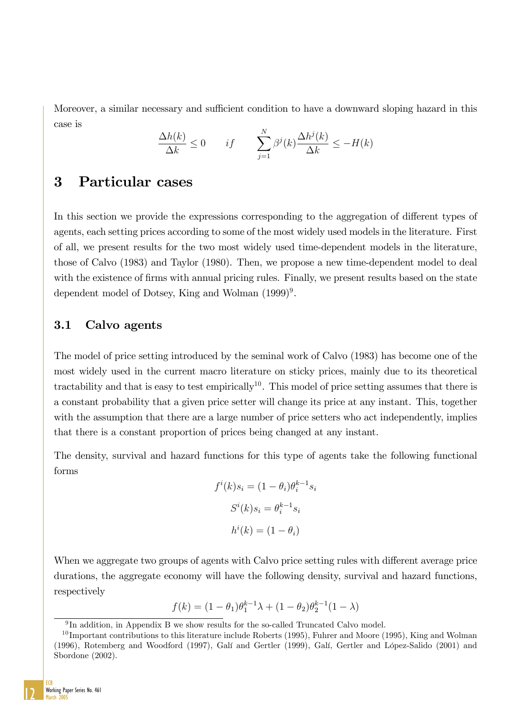Moreover, a similar necessary and sufficient condition to have a downward sloping hazard in this case is

$$
\frac{\Delta h(k)}{\Delta k} \le 0 \qquad if \qquad \sum_{j=1}^{N} \beta^{j}(k) \frac{\Delta h^{j}(k)}{\Delta k} \le -H(k)
$$

## 3 Particular cases

In this section we provide the expressions corresponding to the aggregation of different types of agents, each setting prices according to some of the most widely used models in the literature. First of all, we present results for the two most widely used time-dependent models in the literature, those of Calvo (1983) and Taylor (1980). Then, we propose a new time-dependent model to deal with the existence of firms with annual pricing rules. Finally, we present results based on the state dependent model of Dotsey, King and Wolman  $(1999)^9$ .

## 3.1 Calvo agents

The model of price setting introduced by the seminal work of Calvo (1983) has become one of the most widely used in the current macro literature on sticky prices, mainly due to its theoretical tractability and that is easy to test empirically<sup>10</sup>. This model of price setting assumes that there is a constant probability that a given price setter will change its price at any instant. This, together with the assumption that there are a large number of price setters who act independently, implies that there is a constant proportion of prices being changed at any instant.

The density, survival and hazard functions for this type of agents take the following functional forms

$$
f^{i}(k)s_{i} = (1 - \theta_{i})\theta_{i}^{k-1}s_{i}
$$

$$
S^{i}(k)s_{i} = \theta_{i}^{k-1}s_{i}
$$

$$
h^{i}(k) = (1 - \theta_{i})
$$

When we aggregate two groups of agents with Calvo price setting rules with different average price durations, the aggregate economy will have the following density, survival and hazard functions, respectively

$$
f(k) = (1 - \theta_1)\theta_1^{k-1}\lambda + (1 - \theta_2)\theta_2^{k-1}(1 - \lambda)
$$



<sup>9</sup> In addition, in Appendix B we show results for the so-called Truncated Calvo model.

 $10$  Important contributions to this literature include Roberts (1995), Fuhrer and Moore (1995), King and Wolman (1996), Rotemberg and Woodford (1997), Galí and Gertler (1999), Galí, Gertler and López-Salido (2001) and Sbordone (2002).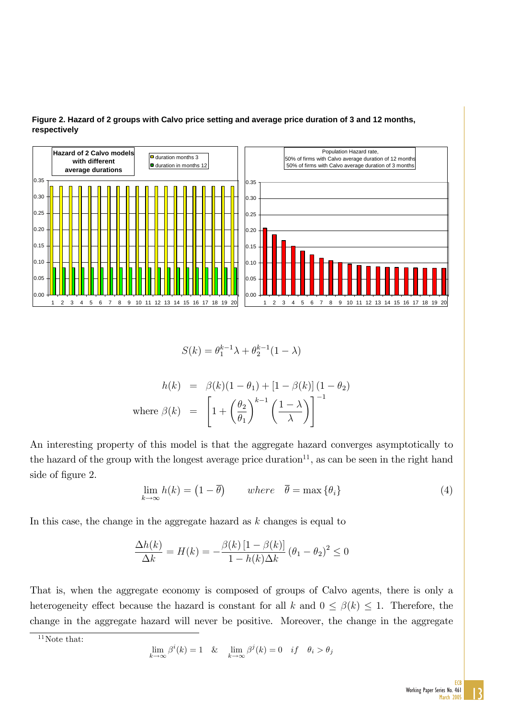

### **Figure 2. Hazard of 2 groups with Calvo price setting and average price duration of 3 and 12 months, respectively**

$$
S(k) = \theta_1^{k-1}\lambda + \theta_2^{k-1}(1-\lambda)
$$

$$
h(k) = \beta(k)(1 - \theta_1) + [1 - \beta(k)] (1 - \theta_2)
$$
  
where  $\beta(k) = \left[1 + \left(\frac{\theta_2}{\theta_1}\right)^{k-1} \left(\frac{1 - \lambda}{\lambda}\right)\right]^{-1}$ 

An interesting property of this model is that the aggregate hazard converges asymptotically to the hazard of the group with the longest average price duration<sup>11</sup>, as can be seen in the right hand side of figure 2.

$$
\lim_{k \to \infty} h(k) = (1 - \overline{\theta}) \quad where \quad \overline{\theta} = \max \{ \theta_i \} \tag{4}
$$

In this case, the change in the aggregate hazard as  $k$  changes is equal to

$$
\frac{\Delta h(k)}{\Delta k} = H(k) = -\frac{\beta(k)\left[1 - \beta(k)\right]}{1 - h(k)\Delta k} \left(\theta_1 - \theta_2\right)^2 \le 0
$$

That is, when the aggregate economy is composed of groups of Calvo agents, there is only a heterogeneity effect because the hazard is constant for all k and  $0 \leq \beta(k) \leq 1$ . Therefore, the change in the aggregate hazard will never be positive. Moreover, the change in the aggregate

 $11$ Note that:

$$
\lim_{k \to \infty} \beta^i(k) = 1 \quad \& \quad \lim_{k \to \infty} \beta^j(k) = 0 \quad if \quad \theta_i > \theta_j
$$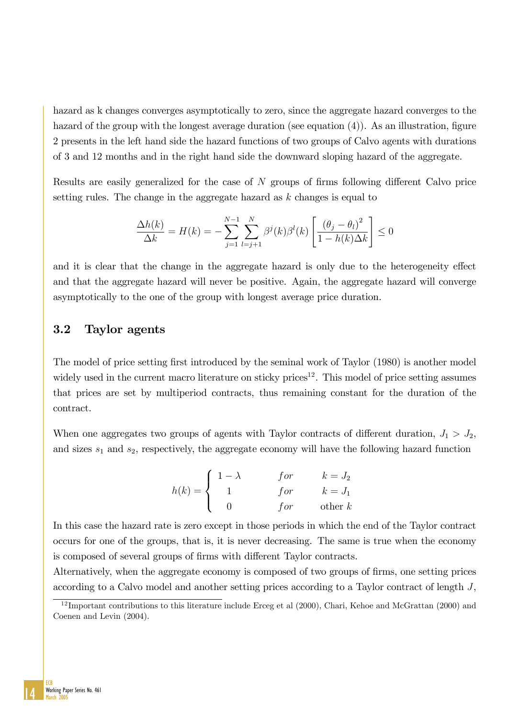hazard as k changes converges asymptotically to zero, since the aggregate hazard converges to the hazard of the group with the longest average duration (see equation  $(4)$ ). As an illustration, figure 2 presents in the left hand side the hazard functions of two groups of Calvo agents with durations of 3 and 12 months and in the right hand side the downward sloping hazard of the aggregate.

Results are easily generalized for the case of  $N$  groups of firms following different Calvo price setting rules. The change in the aggregate hazard as  $k$  changes is equal to

$$
\frac{\Delta h(k)}{\Delta k} = H(k) = -\sum_{j=1}^{N-1} \sum_{l=j+1}^{N} \beta^{j}(k) \beta^{l}(k) \left[ \frac{(\theta_{j} - \theta_{l})^{2}}{1 - h(k)\Delta k} \right] \le 0
$$

and it is clear that the change in the aggregate hazard is only due to the heterogeneity effect and that the aggregate hazard will never be positive. Again, the aggregate hazard will converge asymptotically to the one of the group with longest average price duration.

### 3.2 Taylor agents

The model of price setting first introduced by the seminal work of Taylor (1980) is another model widely used in the current macro literature on sticky prices<sup>12</sup>. This model of price setting assumes that prices are set by multiperiod contracts, thus remaining constant for the duration of the contract.

When one aggregates two groups of agents with Taylor contracts of different duration,  $J_1 > J_2$ , and sizes  $s_1$  and  $s_2$ , respectively, the aggregate economy will have the following hazard function

$$
h(k) = \begin{cases} 1 - \lambda & \text{for} & k = J_2 \\ 1 & \text{for} & k = J_1 \\ 0 & \text{for} & \text{other } k \end{cases}
$$

In this case the hazard rate is zero except in those periods in which the end of the Taylor contract occurs for one of the groups, that is, it is never decreasing. The same is true when the economy is composed of several groups of firms with different Taylor contracts.

Alternatively, when the aggregate economy is composed of two groups of firms, one setting prices according to a Calvo model and another setting prices according to a Taylor contract of length J,



 $12$  Important contributions to this literature include Erceg et al (2000), Chari, Kehoe and McGrattan (2000) and Coenen and Levin (2004).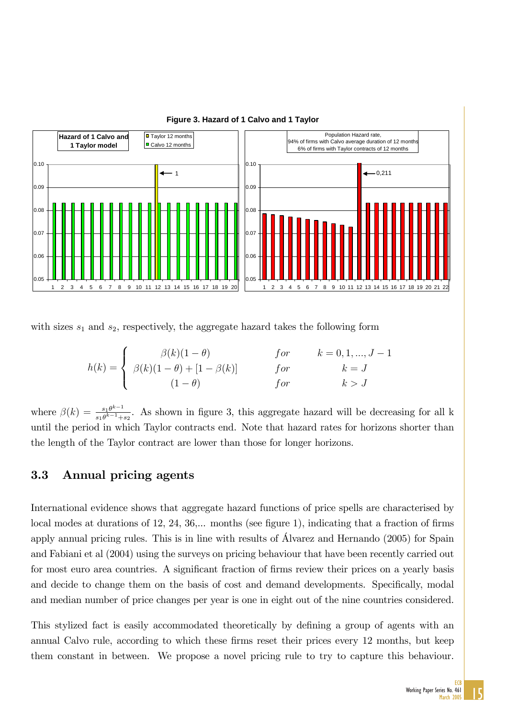

**Figure 3. Hazard of 1 Calvo and 1 Taylor**

with sizes  $s_1$  and  $s_2$ , respectively, the aggregate hazard takes the following form

$$
h(k) = \begin{cases} \beta(k)(1-\theta) & \text{for} & k = 0, 1, ..., J-1 \\ \beta(k)(1-\theta) + [1-\beta(k)] & \text{for} & k = J \\ (1-\theta) & \text{for} & k > J \end{cases}
$$

where  $\beta(k) = \frac{s_1 \theta^{k-1}}{s_1 \theta^{k-1}+s_2}$ . As shown in figure 3, this aggregate hazard will be decreasing for all k until the period in which Taylor contracts end. Note that hazard rates for horizons shorter than the length of the Taylor contract are lower than those for longer horizons.

### 3.3 Annual pricing agents

International evidence shows that aggregate hazard functions of price spells are characterised by local modes at durations of 12, 24,  $36,...$  months (see figure 1), indicating that a fraction of firms apply annual pricing rules. This is in line with results of Alvarez and Hernando (2005) for Spain and Fabiani et al (2004) using the surveys on pricing behaviour that have been recently carried out for most euro area countries. A significant fraction of firms review their prices on a yearly basis and decide to change them on the basis of cost and demand developments. Specifically, modal and median number of price changes per year is one in eight out of the nine countries considered.

This stylized fact is easily accommodated theoretically by defining a group of agents with an annual Calvo rule, according to which these firms reset their prices every 12 months, but keep them constant in between. We propose a novel pricing rule to try to capture this behaviour.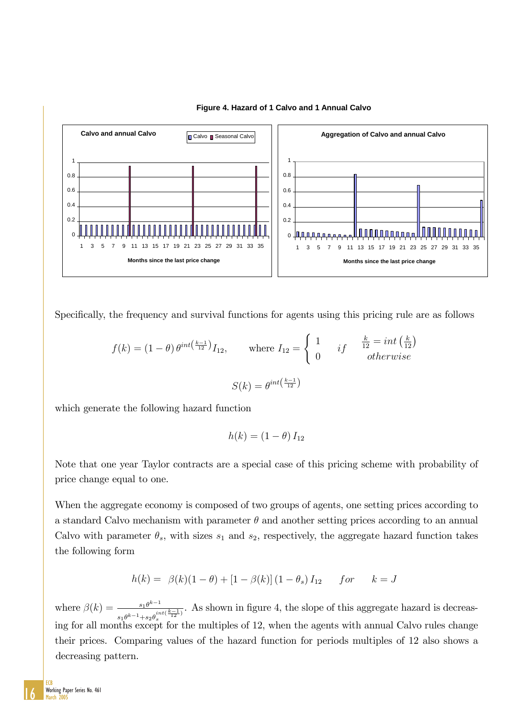

#### **Figure 4. Hazard of 1 Calvo and 1 Annual Calvo**

Specifically, the frequency and survival functions for agents using this pricing rule are as follows

$$
f(k) = (1 - \theta) \theta^{int\left(\frac{k-1}{12}\right)} I_{12}, \quad \text{where } I_{12} = \begin{cases} 1 & \text{if } \frac{k}{12} = int\left(\frac{k}{12}\right) \\ 0 & \text{otherwise} \end{cases}
$$

$$
S(k) = \theta^{int\left(\frac{k-1}{12}\right)}
$$

which generate the following hazard function

$$
h(k) = (1 - \theta) I_{12}
$$

Note that one year Taylor contracts are a special case of this pricing scheme with probability of price change equal to one.

When the aggregate economy is composed of two groups of agents, one setting prices according to a standard Calvo mechanism with parameter  $\theta$  and another setting prices according to an annual Calvo with parameter  $\theta_s$ , with sizes  $s_1$  and  $s_2$ , respectively, the aggregate hazard function takes the following form

$$
h(k) = \beta(k)(1 - \theta) + [1 - \beta(k)](1 - \theta_s) I_{12} \quad for \quad k = J
$$

where  $\beta(k) = \frac{s_1 \theta^{k-1}}{k}$  $s_1\theta^{k-1}+s_2\theta_s^{int(\tfrac{k-1}{12})}$ . As shown in figure 4, the slope of this aggregate hazard is decreasing for all months except for the multiples of 12, when the agents with annual Calvo rules change their prices. Comparing values of the hazard function for periods multiples of 12 also shows a decreasing pattern.

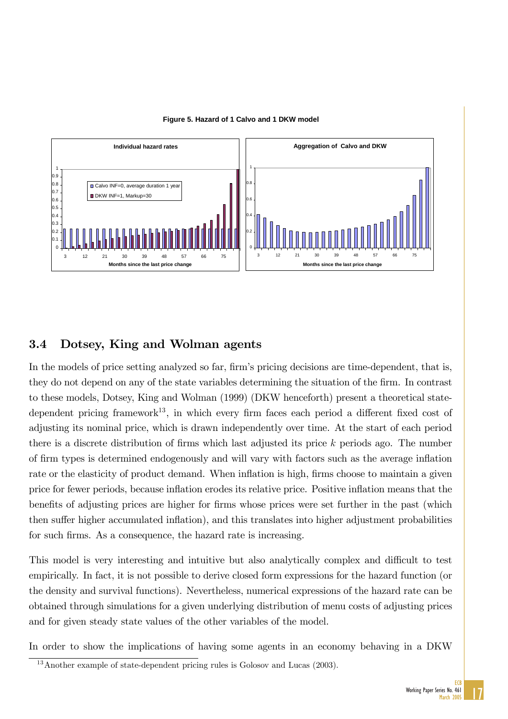

**Figure 5. Hazard of 1 Calvo and 1 DKW model**

### 3.4 Dotsey, King and Wolman agents

In the models of price setting analyzed so far, firm's pricing decisions are time-dependent, that is, they do not depend on any of the state variables determining the situation of the firm. In contrast to these models, Dotsey, King and Wolman (1999) (DKW henceforth) present a theoretical statedependent pricing framework<sup>13</sup>, in which every firm faces each period a different fixed cost of adjusting its nominal price, which is drawn independently over time. At the start of each period there is a discrete distribution of firms which last adjusted its price  $k$  periods ago. The number of firm types is determined endogenously and will vary with factors such as the average inflation rate or the elasticity of product demand. When inflation is high, firms choose to maintain a given price for fewer periods, because inflation erodes its relative price. Positive inflation means that the benefits of adjusting prices are higher for firms whose prices were set further in the past (which then suffer higher accumulated inflation), and this translates into higher adjustment probabilities for such firms. As a consequence, the hazard rate is increasing.

This model is very interesting and intuitive but also analytically complex and difficult to test empirically. In fact, it is not possible to derive closed form expressions for the hazard function (or the density and survival functions). Nevertheless, numerical expressions of the hazard rate can be obtained through simulations for a given underlying distribution of menu costs of adjusting prices and for given steady state values of the other variables of the model.

In order to show the implications of having some agents in an economy behaving in a DKW

<sup>&</sup>lt;sup>13</sup>Another example of state-dependent pricing rules is Golosov and Lucas (2003).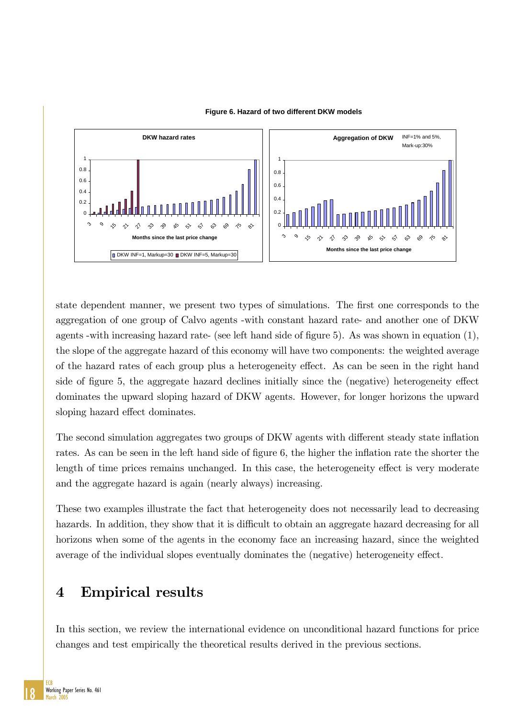

#### **Figure 6. Hazard of two different DKW models**

state dependent manner, we present two types of simulations. The first one corresponds to the aggregation of one group of Calvo agents -with constant hazard rate- and another one of DKW agents -with increasing hazard rate- (see left hand side of figure 5). As was shown in equation  $(1)$ , the slope of the aggregate hazard of this economy will have two components: the weighted average of the hazard rates of each group plus a heterogeneity effect. As can be seen in the right hand side of figure 5, the aggregate hazard declines initially since the (negative) heterogeneity effect dominates the upward sloping hazard of DKW agents. However, for longer horizons the upward sloping hazard effect dominates.

The second simulation aggregates two groups of DKW agents with different steady state inflation rates. As can be seen in the left hand side of figure 6, the higher the inflation rate the shorter the length of time prices remains unchanged. In this case, the heterogeneity effect is very moderate and the aggregate hazard is again (nearly always) increasing.

These two examples illustrate the fact that heterogeneity does not necessarily lead to decreasing hazards. In addition, they show that it is difficult to obtain an aggregate hazard decreasing for all horizons when some of the agents in the economy face an increasing hazard, since the weighted average of the individual slopes eventually dominates the (negative) heterogeneity effect.

# 4 Empirical results

In this section, we review the international evidence on unconditional hazard functions for price changes and test empirically the theoretical results derived in the previous sections.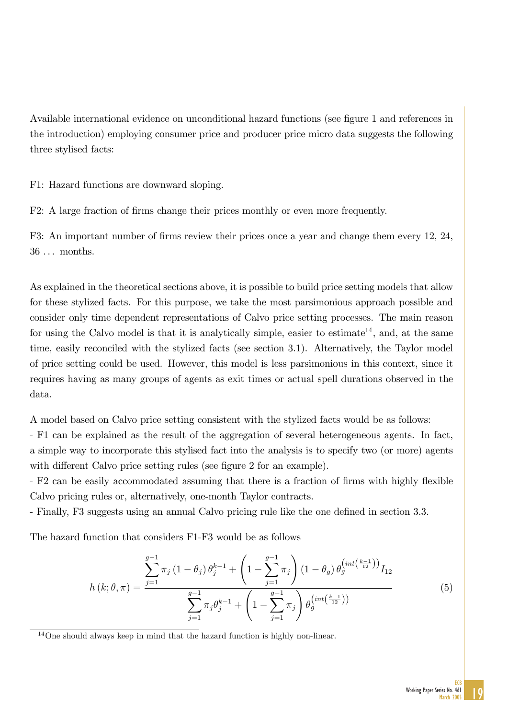Available international evidence on unconditional hazard functions (see figure 1 and references in the introduction) employing consumer price and producer price micro data suggests the following three stylised facts:

F1: Hazard functions are downward sloping.

F2: A large fraction of firms change their prices monthly or even more frequently.

F3: An important number of firms review their prices once a year and change them every 12, 24, 36 . . . months.

As explained in the theoretical sections above, it is possible to build price setting models that allow for these stylized facts. For this purpose, we take the most parsimonious approach possible and consider only time dependent representations of Calvo price setting processes. The main reason for using the Calvo model is that it is analytically simple, easier to estimate<sup>14</sup>, and, at the same time, easily reconciled with the stylized facts (see section 3.1). Alternatively, the Taylor model of price setting could be used. However, this model is less parsimonious in this context, since it requires having as many groups of agents as exit times or actual spell durations observed in the data.

A model based on Calvo price setting consistent with the stylized facts would be as follows:

- F1 can be explained as the result of the aggregation of several heterogeneous agents. In fact, a simple way to incorporate this stylised fact into the analysis is to specify two (or more) agents with different Calvo price setting rules (see figure 2 for an example).

- F2 can be easily accommodated assuming that there is a fraction of firms with highly flexible Calvo pricing rules or, alternatively, one-month Taylor contracts.

- Finally, F3 suggests using an annual Calvo pricing rule like the one defined in section 3.3.

The hazard function that considers F1-F3 would be as follows

$$
h(k; \theta, \pi) = \frac{\sum_{j=1}^{g-1} \pi_j (1 - \theta_j) \theta_j^{k-1} + \left(1 - \sum_{j=1}^{g-1} \pi_j\right) (1 - \theta_g) \theta_g^{\left(int\left(\frac{k-1}{12}\right)\right)} I_{12}}{\sum_{j=1}^{g-1} \pi_j \theta_j^{k-1} + \left(1 - \sum_{j=1}^{g-1} \pi_j\right) \theta_g^{\left(int\left(\frac{k-1}{12}\right)\right)}} \tag{5}
$$

<sup>14</sup>One should always keep in mind that the hazard function is highly non-linear.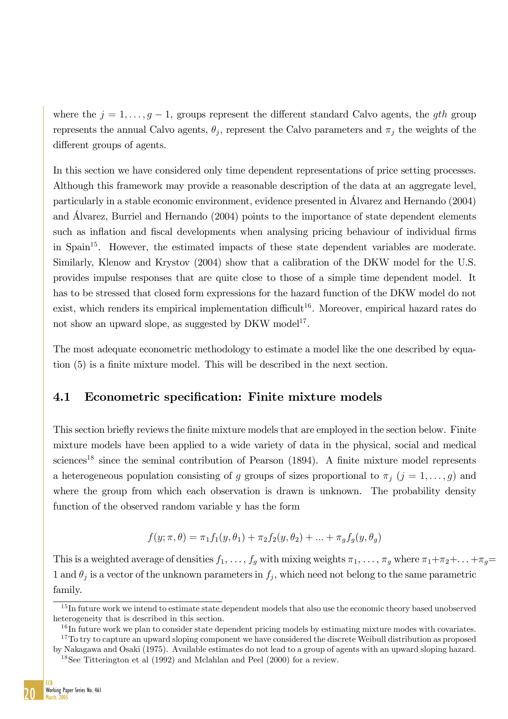where the  $j = 1, \ldots, g-1$ , groups represent the different standard Calvo agents, the gth group represents the annual Calvo agents,  $\theta_j$ , represent the Calvo parameters and  $\pi_j$  the weights of the different groups of agents.

In this section we have considered only time dependent representations of price setting processes. Although this framework may provide a reasonable description of the data at an aggregate level, particularly in a stable economic environment, evidence presented in £lvarez and Hernando (2004) and £lvarez, Burriel and Hernando (2004) points to the importance of state dependent elements such as inflation and fiscal developments when analysing pricing behaviour of individual firms in Spain15. However, the estimated impacts of these state dependent variables are moderate. Similarly, Klenow and Krystov (2004) show that a calibration of the DKW model for the U.S. provides impulse responses that are quite close to those of a simple time dependent model. It has to be stressed that closed form expressions for the hazard function of the DKW model do not exist, which renders its empirical implementation difficult<sup>16</sup>. Moreover, empirical hazard rates do not show an upward slope, as suggested by DKW model<sup>17</sup>.

The most adequate econometric methodology to estimate a model like the one described by equation (5) is a finite mixture model. This will be described in the next section.

### 4.1 Econometric specification: Finite mixture models

This section briefly reviews the finite mixture models that are employed in the section below. Finite mixture models have been applied to a wide variety of data in the physical, social and medical sciences<sup>18</sup> since the seminal contribution of Pearson  $(1894)$ . A finite mixture model represents a heterogeneous population consisting of g groups of sizes proportional to  $\pi_j$   $(j = 1, \ldots, g)$  and where the group from which each observation is drawn is unknown. The probability density function of the observed random variable y has the form

$$
f(y; \pi, \theta) = \pi_1 f_1(y, \theta_1) + \pi_2 f_2(y, \theta_2) + \dots + \pi_g f_g(y, \theta_g)
$$

This is a weighted average of densities  $f_1, \ldots, f_g$  with mixing weights  $\pi_1, \ldots, \pi_g$  where  $\pi_1 + \pi_2 + \ldots + \pi_g =$ 1 and  $\theta_i$  is a vector of the unknown parameters in  $f_i$ , which need not belong to the same parametric family.



 $15$  In future work we intend to estimate state dependent models that also use the economic theory based unobserved heterogeneity that is described in this section.

<sup>&</sup>lt;sup>16</sup>In future work we plan to consider state dependent pricing models by estimating mixture modes with covariates.

 $17$ To try to capture an upward sloping component we have considered the discrete Weibull distribution as proposed by Nakagawa and Osaki (1975). Available estimates do not lead to a group of agents with an upward sloping hazard.

<sup>18</sup>See Titterington et al (1992) and Mclahlan and Peel (2000) for a review.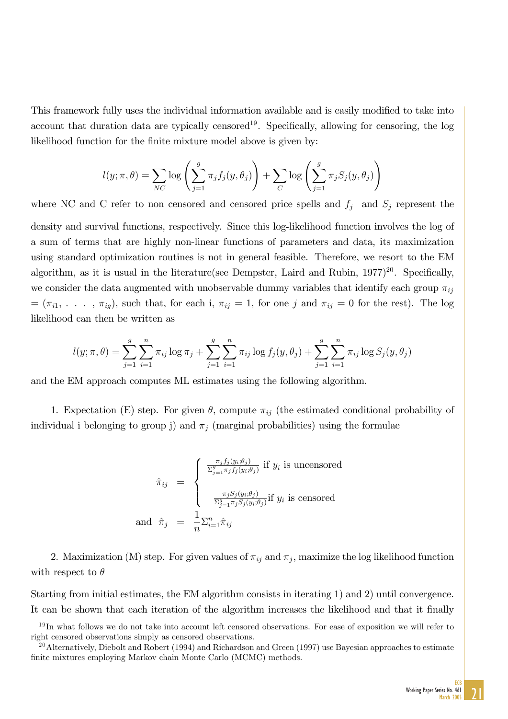This framework fully uses the individual information available and is easily modified to take into account that duration data are typically censored<sup>19</sup>. Specifically, allowing for censoring, the log likelihood function for the finite mixture model above is given by:

$$
l(y; \pi, \theta) = \sum_{NC} \log \left( \sum_{j=1}^{g} \pi_j f_j(y, \theta_j) \right) + \sum_{C} \log \left( \sum_{j=1}^{g} \pi_j S_j(y, \theta_j) \right)
$$

where NC and C refer to non censored and censored price spells and  $f_j$  and  $S_j$  represent the density and survival functions, respectively. Since this log-likelihood function involves the log of a sum of terms that are highly non-linear functions of parameters and data, its maximization using standard optimization routines is not in general feasible. Therefore, we resort to the EM algorithm, as it is usual in the literature(see Dempster, Laird and Rubin,  $1977)^{20}$ . Specifically, we consider the data augmented with unobservable dummy variables that identify each group  $\pi_{ij}$  $=(\pi_{i1}, \ldots, \pi_{ig}),$  such that, for each i,  $\pi_{ij} = 1$ , for one j and  $\pi_{ij} = 0$  for the rest). The log likelihood can then be written as

$$
l(y; \pi, \theta) = \sum_{j=1}^{g} \sum_{i=1}^{n} \pi_{ij} \log \pi_j + \sum_{j=1}^{g} \sum_{i=1}^{n} \pi_{ij} \log f_j(y, \theta_j) + \sum_{j=1}^{g} \sum_{i=1}^{n} \pi_{ij} \log S_j(y, \theta_j)
$$

and the EM approach computes ML estimates using the following algorithm.

1. Expectation (E) step. For given  $\theta$ , compute  $\pi_{ij}$  (the estimated conditional probability of individual i belonging to group j) and  $\pi_i$  (marginal probabilities) using the formulae

$$
\hat{\pi}_{ij} = \begin{cases}\n\frac{\pi_j f_j(y_i; \theta_j)}{\Sigma_{j=1}^g \pi_j f_j(y_i; \theta_j)} \text{ if } y_i \text{ is uncensored} \\
\frac{\pi_j S_j(y_i; \theta_j)}{\Sigma_{j=1}^g \pi_j S_j(y_i; \theta_j)} \text{ if } y_i \text{ is censored} \\
\text{and } \hat{\pi}_j = \frac{1}{n} \sum_{i=1}^n \hat{\pi}_{ij}\n\end{cases}
$$

2. Maximization (M) step. For given values of  $\pi_{ij}$  and  $\pi_j$ , maximize the log likelihood function with respect to  $\theta$ 

Starting from initial estimates, the EM algorithm consists in iterating 1) and 2) until convergence. It can be shown that each iteration of the algorithm increases the likelihood and that it finally

 $19$ In what follows we do not take into account left censored observations. For ease of exposition we will refer to right censored observations simply as censored observations.

<sup>&</sup>lt;sup>20</sup>Alternatively, Diebolt and Robert (1994) and Richardson and Green (1997) use Bayesian approaches to estimate finite mixtures employing Markov chain Monte Carlo (MCMC) methods.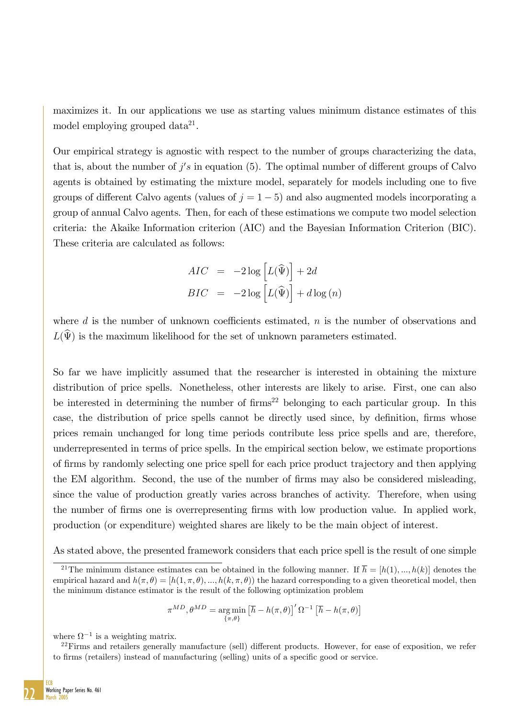maximizes it. In our applications we use as starting values minimum distance estimates of this model employing grouped data $2^1$ .

Our empirical strategy is agnostic with respect to the number of groups characterizing the data, that is, about the number of  $j's$  in equation (5). The optimal number of different groups of Calvo agents is obtained by estimating the mixture model, separately for models including one to five groups of different Calvo agents (values of  $j = 1 - 5$ ) and also augmented models incorporating a group of annual Calvo agents. Then, for each of these estimations we compute two model selection criteria: the Akaike Information criterion (AIC) and the Bayesian Information Criterion (BIC). These criteria are calculated as follows:

$$
AIC = -2 \log \left[ L(\widehat{\Psi}) \right] + 2d
$$
  

$$
BIC = -2 \log \left[ L(\widehat{\Psi}) \right] + d \log(n)
$$

where  $d$  is the number of unknown coefficients estimated,  $n$  is the number of observations and  $L(\widehat{\Psi})$  is the maximum likelihood for the set of unknown parameters estimated.

So far we have implicitly assumed that the researcher is interested in obtaining the mixture distribution of price spells. Nonetheless, other interests are likely to arise. First, one can also be interested in determining the number of  $\text{firms}^{22}$  belonging to each particular group. In this case, the distribution of price spells cannot be directly used since, by definition, firms whose prices remain unchanged for long time periods contribute less price spells and are, therefore, underrepresented in terms of price spells. In the empirical section below, we estimate proportions of Örms by randomly selecting one price spell for each price product trajectory and then applying the EM algorithm. Second, the use of the number of firms may also be considered misleading, since the value of production greatly varies across branches of activity. Therefore, when using the number of Örms one is overrepresenting Örms with low production value. In applied work, production (or expenditure) weighted shares are likely to be the main object of interest.

As stated above, the presented framework considers that each price spell is the result of one simple

$$
\pi^{MD}, \theta^{MD} = \underset{\{\pi, \theta\}}{\arg \min} \left[ \overline{h} - h(\pi, \theta) \right]' \Omega^{-1} \left[ \overline{h} - h(\pi, \theta) \right]
$$

where  $\Omega^{-1}$  is a weighting matrix.

<sup>&</sup>lt;sup>21</sup>The minimum distance estimates can be obtained in the following manner. If  $\overline{h} = [h(1),...,h(k)]$  denotes the empirical hazard and  $h(\pi, \theta) = [h(1, \pi, \theta), ..., h(k, \pi, \theta)]$  the hazard corresponding to a given theoretical model, then the minimum distance estimator is the result of the following optimization problem

 $^{22}$ Firms and retailers generally manufacture (sell) different products. However, for ease of exposition, we refer to firms (retailers) instead of manufacturing (selling) units of a specific good or service.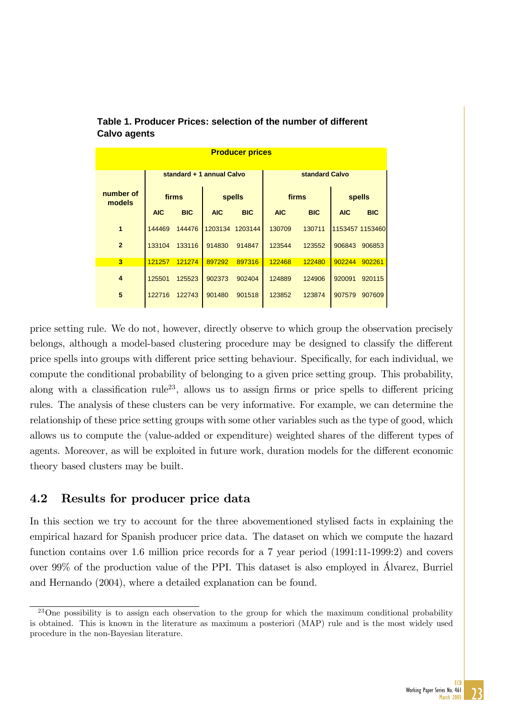| <b>Producer prices</b> |            |            |                           |            |            |                |            |                 |  |  |  |  |
|------------------------|------------|------------|---------------------------|------------|------------|----------------|------------|-----------------|--|--|--|--|
|                        |            |            | standard + 1 annual Calvo |            |            | standard Calvo |            |                 |  |  |  |  |
| number of<br>models    |            | firms      |                           | spells     | firms      |                | spells     |                 |  |  |  |  |
|                        | <b>AIC</b> | <b>BIC</b> | <b>AIC</b>                | <b>BIC</b> | <b>AIC</b> | <b>BIC</b>     | <b>AIC</b> | <b>BIC</b>      |  |  |  |  |
| $\mathbf{1}$           | 144469     | 144476     | 1203134                   | 1203144    | 130709     | 130711         |            | 1153457 1153460 |  |  |  |  |
| $\overline{2}$         | 133104     | 133116     | 914830                    | 914847     | 123544     | 123552         | 906843     | 906853          |  |  |  |  |
| 3                      | 121257     | 121274     | 897292                    | 897316     | 122468     | 122480         | 902244     | 902261          |  |  |  |  |
| 4                      | 125501     | 125523     | 902373                    | 902404     | 124889     | 124906         | 920091     | 920115          |  |  |  |  |
| 5                      | 122716     | 122743     | 901480                    | 901518     | 123852     | 123874         | 907579     | 907609          |  |  |  |  |

**Table 1. Producer Prices: selection of the number of different Calvo agents**

price setting rule. We do not, however, directly observe to which group the observation precisely belongs, although a model-based clustering procedure may be designed to classify the different price spells into groups with different price setting behaviour. Specifically, for each individual, we compute the conditional probability of belonging to a given price setting group. This probability, along with a classification rule<sup>23</sup>, allows us to assign firms or price spells to different pricing rules. The analysis of these clusters can be very informative. For example, we can determine the relationship of these price setting groups with some other variables such as the type of good, which allows us to compute the (value-added or expenditure) weighted shares of the different types of agents. Moreover, as will be exploited in future work, duration models for the different economic theory based clusters may be built.

### 4.2 Results for producer price data

In this section we try to account for the three abovementioned stylised facts in explaining the empirical hazard for Spanish producer price data. The dataset on which we compute the hazard function contains over 1.6 million price records for a 7 year period (1991:11-1999:2) and covers over  $99\%$  of the production value of the PPI. This dataset is also employed in Álvarez, Burriel and Hernando (2004), where a detailed explanation can be found.

<sup>&</sup>lt;sup>23</sup>One possibility is to assign each observation to the group for which the maximum conditional probability is obtained. This is known in the literature as maximum a posteriori (MAP) rule and is the most widely used procedure in the non-Bayesian literature.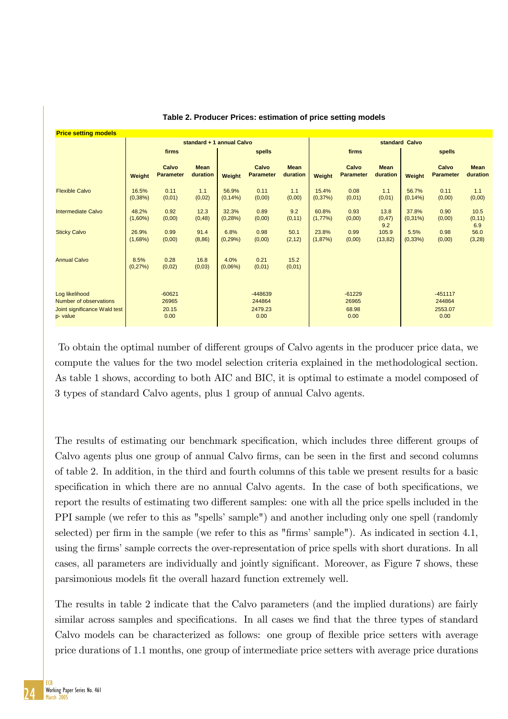| <b>Price setting models</b>                                                                 |                           |                                    |                         |                      |                                      |                         |                     |                                    |                         |                      |                                        |                         |  |
|---------------------------------------------------------------------------------------------|---------------------------|------------------------------------|-------------------------|----------------------|--------------------------------------|-------------------------|---------------------|------------------------------------|-------------------------|----------------------|----------------------------------------|-------------------------|--|
|                                                                                             | standard + 1 annual Calvo |                                    |                         |                      |                                      |                         |                     | standard Calvo                     |                         |                      |                                        |                         |  |
|                                                                                             |                           | firms                              |                         |                      | spells                               |                         |                     | firms                              |                         | spells               |                                        |                         |  |
|                                                                                             | Weight                    | Calvo<br><b>Parameter</b>          | <b>Mean</b><br>duration | Weight               | Calvo<br><b>Parameter</b>            | <b>Mean</b><br>duration | Weight              | Calvo<br><b>Parameter</b>          | <b>Mean</b><br>duration | Weight               | Calvo<br><b>Parameter</b>              | <b>Mean</b><br>duration |  |
| <b>Flexible Calvo</b>                                                                       | 16.5%<br>(0,38%)          | 0.11<br>(0,01)                     | 1.1<br>(0,02)           | 56.9%<br>$(0, 14\%)$ | 0.11<br>(0,00)                       | 1.1<br>(0,00)           | 15.4%<br>(0,37%)    | 0.08<br>(0,01)                     | 1.1<br>(0,01)           | 56.7%<br>$(0, 14\%)$ | 0.11<br>(0,00)                         | 1.1<br>(0,00)           |  |
| <b>Intermediate Calvo</b>                                                                   | 48.2%<br>$(1,60\%)$       | 0.92<br>(0,00)                     | 12.3<br>(0, 48)         | 32.3%<br>$(0, 28\%)$ | 0.89<br>(0,00)                       | 9.2<br>(0, 11)          | 60.8%<br>$(1,77\%)$ | 0.93<br>(0,00)                     | 13.8<br>(0, 47)<br>9.2  | 37.8%<br>$(0,31\%)$  | 0.90<br>(0,00)                         | 10.5<br>(0, 11)<br>6.9  |  |
| <b>Sticky Calvo</b>                                                                         | 26.9%<br>(1,68%)          | 0.99<br>(0,00)                     | 91.4<br>(8, 86)         | 6.8%<br>(0, 29%)     | 0.98<br>(0,00)                       | 50.1<br>(2, 12)         | 23.8%<br>(1,87%)    | 0.99<br>(0,00)                     | 105.9<br>(13, 82)       | 5.5%<br>(0, 33%)     | 0.98<br>(0,00)                         | 56.0<br>(3,28)          |  |
| <b>Annual Calvo</b>                                                                         | 8.5%<br>(0, 27%)          | 0.28<br>(0,02)                     | 16.8<br>(0,03)          | 4.0%<br>$(0,06\%)$   | 0.21<br>(0,01)                       | 15.2<br>(0,01)          |                     |                                    |                         |                      |                                        |                         |  |
| Log likelihood<br><b>Number of observations</b><br>Joint significance Wald test<br>p- value |                           | $-60621$<br>26965<br>20.15<br>0.00 |                         |                      | -448639<br>244864<br>2479.23<br>0.00 |                         |                     | $-61229$<br>26965<br>68.98<br>0.00 |                         |                      | $-451117$<br>244864<br>2553.07<br>0.00 |                         |  |

| Table 2. Producer Prices: estimation of price setting models |  |  |  |  |  |  |
|--------------------------------------------------------------|--|--|--|--|--|--|
|--------------------------------------------------------------|--|--|--|--|--|--|

To obtain the optimal number of different groups of Calvo agents in the producer price data, we compute the values for the two model selection criteria explained in the methodological section. As table 1 shows, according to both AIC and BIC, it is optimal to estimate a model composed of 3 types of standard Calvo agents, plus 1 group of annual Calvo agents.

The results of estimating our benchmark specification, which includes three different groups of Calvo agents plus one group of annual Calvo firms, can be seen in the first and second columns of table 2. In addition, in the third and fourth columns of this table we present results for a basic specification in which there are no annual Calvo agents. In the case of both specifications, we report the results of estimating two different samples: one with all the price spells included in the PPI sample (we refer to this as "spells' sample") and another including only one spell (randomly selected) per firm in the sample (we refer to this as "firms' sample"). As indicated in section 4.1, using the firms' sample corrects the over-representation of price spells with short durations. In all cases, all parameters are individually and jointly significant. Moreover, as Figure 7 shows, these parsimonious models Öt the overall hazard function extremely well.

The results in table 2 indicate that the Calvo parameters (and the implied durations) are fairly similar across samples and specifications. In all cases we find that the three types of standard Calvo models can be characterized as follows: one group of flexible price setters with average price durations of 1.1 months, one group of intermediate price setters with average price durations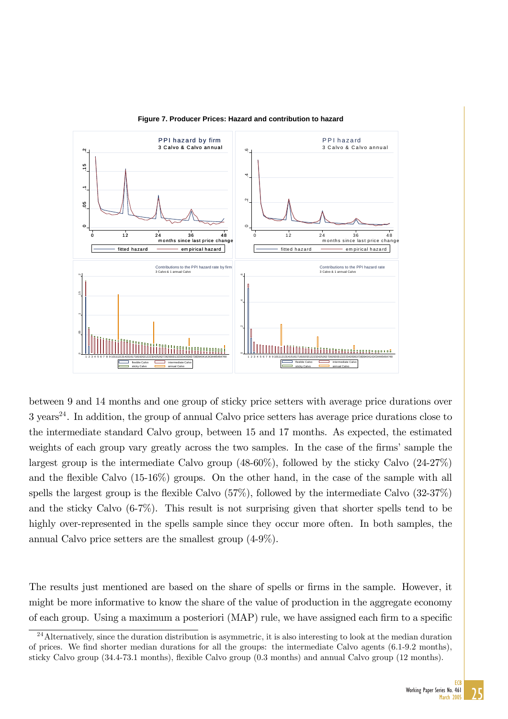

**Figure 7. Producer Prices: Hazard and contribution to hazard**

between 9 and 14 months and one group of sticky price setters with average price durations over  $3 \text{ years}^{24}$ . In addition, the group of annual Calvo price setters has average price durations close to the intermediate standard Calvo group, between 15 and 17 months. As expected, the estimated weights of each group vary greatly across the two samples. In the case of the firms' sample the largest group is the intermediate Calvo group  $(48-60\%)$ , followed by the sticky Calvo  $(24-27\%)$ and the flexible Calvo  $(15-16\%)$  groups. On the other hand, in the case of the sample with all spells the largest group is the flexible Calvo  $(57\%)$ , followed by the intermediate Calvo  $(32-37\%)$ and the sticky Calvo (6-7%). This result is not surprising given that shorter spells tend to be highly over-represented in the spells sample since they occur more often. In both samples, the annual Calvo price setters are the smallest group (4-9%).

The results just mentioned are based on the share of spells or firms in the sample. However, it might be more informative to know the share of the value of production in the aggregate economy of each group. Using a maximum a posteriori (MAP) rule, we have assigned each firm to a specific

 $24$ Alternatively, since the duration distribution is asymmetric, it is also interesting to look at the median duration of prices. We Önd shorter median durations for all the groups: the intermediate Calvo agents (6.1-9.2 months), sticky Calvo group (34.4-73.1 months), flexible Calvo group (0.3 months) and annual Calvo group (12 months).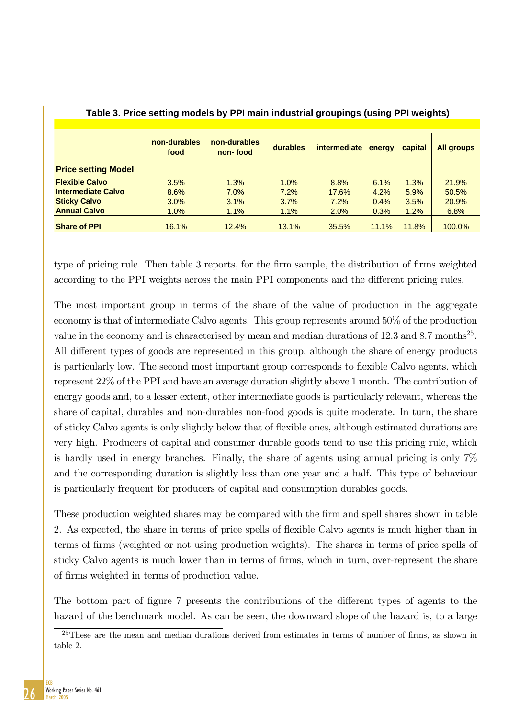|                            | non-durables<br>food | non-durables<br>non-food | durables | intermediate | energy | capital | <b>All groups</b> |
|----------------------------|----------------------|--------------------------|----------|--------------|--------|---------|-------------------|
| <b>Price setting Model</b> |                      |                          |          |              |        |         |                   |
| <b>Flexible Calvo</b>      | 3.5%                 | 1.3%                     | 1.0%     | 8.8%         | 6.1%   | 1.3%    | 21.9%             |
| <b>Intermediate Calvo</b>  | 8.6%                 | 7.0%                     | 7.2%     | 17.6%        | 4.2%   | 5.9%    | 50.5%             |
| <b>Sticky Calvo</b>        | 3.0%                 | 3.1%                     | 3.7%     | 7.2%         | 0.4%   | 3.5%    | 20.9%             |
| <b>Annual Calvo</b>        | 1.0%                 | 1.1%                     | 1.1%     | 2.0%         | 0.3%   | 1.2%    | 6.8%              |
| <b>Share of PPI</b>        | 16.1%                | 12.4%                    | 13.1%    | 35.5%        | 11.1%  | 11.8%   | 100.0%            |

### **Table 3. Price setting models by PPI main industrial groupings (using PPI weights)**

type of pricing rule. Then table 3 reports, for the firm sample, the distribution of firms weighted according to the PPI weights across the main PPI components and the different pricing rules.

The most important group in terms of the share of the value of production in the aggregate economy is that of intermediate Calvo agents. This group represents around 50% of the production value in the economy and is characterised by mean and median durations of 12.3 and 8.7 months<sup>25</sup>. All different types of goods are represented in this group, although the share of energy products is particularly low. The second most important group corresponds to flexible Calvo agents, which represent 22% of the PPI and have an average duration slightly above 1 month. The contribution of energy goods and, to a lesser extent, other intermediate goods is particularly relevant, whereas the share of capital, durables and non-durables non-food goods is quite moderate. In turn, the share of sticky Calvo agents is only slightly below that of áexible ones, although estimated durations are very high. Producers of capital and consumer durable goods tend to use this pricing rule, which is hardly used in energy branches. Finally, the share of agents using annual pricing is only 7% and the corresponding duration is slightly less than one year and a half. This type of behaviour is particularly frequent for producers of capital and consumption durables goods.

These production weighted shares may be compared with the firm and spell shares shown in table 2. As expected, the share in terms of price spells of flexible Calvo agents is much higher than in terms of Örms (weighted or not using production weights). The shares in terms of price spells of sticky Calvo agents is much lower than in terms of firms, which in turn, over-represent the share of Örms weighted in terms of production value.

The bottom part of figure 7 presents the contributions of the different types of agents to the hazard of the benchmark model. As can be seen, the downward slope of the hazard is, to a large



 $^{25}$ These are the mean and median durations derived from estimates in terms of number of firms, as shown in table 2.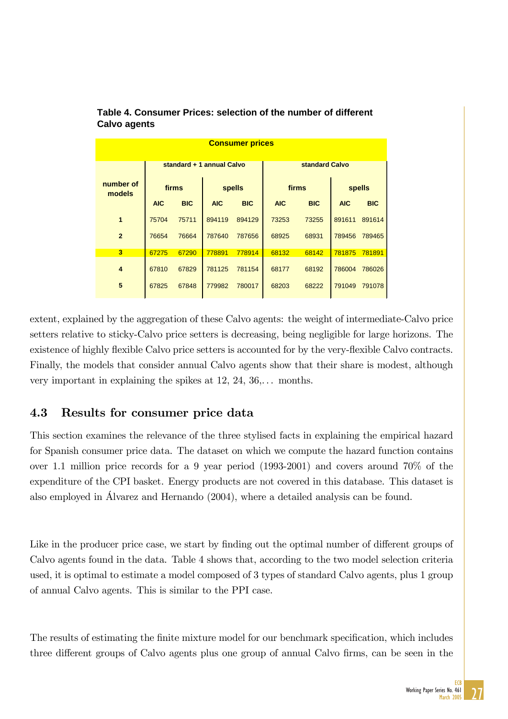| <b>Consumer prices</b> |            |            |                           |            |                |            |            |            |  |  |  |  |
|------------------------|------------|------------|---------------------------|------------|----------------|------------|------------|------------|--|--|--|--|
|                        |            |            | standard + 1 annual Calvo |            | standard Calvo |            |            |            |  |  |  |  |
| number of<br>models    |            | firms      |                           | spells     | firms          |            | spells     |            |  |  |  |  |
|                        | <b>AIC</b> | <b>BIC</b> | <b>AIC</b>                | <b>BIC</b> | <b>AIC</b>     | <b>BIC</b> | <b>AIC</b> | <b>BIC</b> |  |  |  |  |
| 1                      | 75704      | 75711      | 894119                    | 894129     | 73253          | 73255      | 891611     | 891614     |  |  |  |  |
| $\overline{2}$         | 76654      | 76664      | 787640                    | 787656     | 68925          | 68931      | 789456     | 789465     |  |  |  |  |
| $\overline{3}$         | 67275      | 67290      | 778891                    | 778914     | 68132          | 68142      | 781875     | 781891     |  |  |  |  |
| 4                      | 67810      | 67829      | 781125                    | 781154     | 68177          | 68192      | 786004     | 786026     |  |  |  |  |
| 5                      | 67825      | 67848      | 779982                    | 780017     | 68203          | 68222      | 791049     | 791078     |  |  |  |  |

### **Table 4. Consumer Prices: selection of the number of different Calvo agents**

extent, explained by the aggregation of these Calvo agents: the weight of intermediate-Calvo price setters relative to sticky-Calvo price setters is decreasing, being negligible for large horizons. The existence of highly flexible Calvo price setters is accounted for by the very-flexible Calvo contracts. Finally, the models that consider annual Calvo agents show that their share is modest, although very important in explaining the spikes at  $12, 24, 36, \ldots$  months.

## 4.3 Results for consumer price data

This section examines the relevance of the three stylised facts in explaining the empirical hazard for Spanish consumer price data. The dataset on which we compute the hazard function contains over 1.1 million price records for a 9 year period (1993-2001) and covers around 70% of the expenditure of the CPI basket. Energy products are not covered in this database. This dataset is also employed in £lvarez and Hernando (2004), where a detailed analysis can be found.

Like in the producer price case, we start by finding out the optimal number of different groups of Calvo agents found in the data. Table 4 shows that, according to the two model selection criteria used, it is optimal to estimate a model composed of 3 types of standard Calvo agents, plus 1 group of annual Calvo agents. This is similar to the PPI case.

The results of estimating the finite mixture model for our benchmark specification, which includes three different groups of Calvo agents plus one group of annual Calvo firms, can be seen in the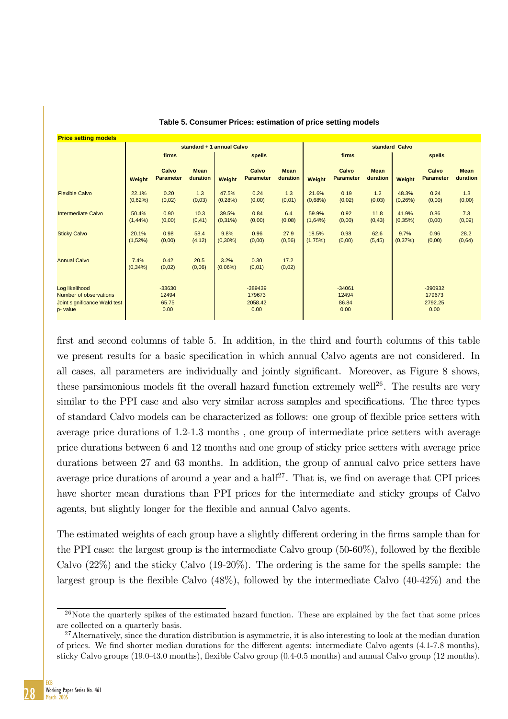| <b>Price setting models</b>                                                         |                     |                                    |                           |                     |                                        |                         |                     |                                    |                         |                   |                                      |                         |
|-------------------------------------------------------------------------------------|---------------------|------------------------------------|---------------------------|---------------------|----------------------------------------|-------------------------|---------------------|------------------------------------|-------------------------|-------------------|--------------------------------------|-------------------------|
|                                                                                     |                     |                                    | standard + 1 annual Calvo |                     |                                        | standard Calvo          |                     |                                    |                         |                   |                                      |                         |
|                                                                                     |                     | firms                              |                           | spells              |                                        |                         | firms               |                                    |                         | spells            |                                      |                         |
|                                                                                     | Weight              | Calvo<br><b>Parameter</b>          | <b>Mean</b><br>duration   | Weight              | Calvo<br><b>Parameter</b>              | <b>Mean</b><br>duration | Weight              | Calvo<br><b>Parameter</b>          | <b>Mean</b><br>duration | Weight            | Calvo<br><b>Parameter</b>            | <b>Mean</b><br>duration |
| <b>Flexible Calvo</b>                                                               | 22.1%<br>(0,62%)    | 0.20<br>(0,02)                     | 1.3<br>(0,03)             | 47.5%<br>(0, 28%)   | 0.24<br>(0,00)                         | 1.3<br>(0,01)           | 21.6%<br>(0,68%)    | 0.19<br>(0,02)                     | 1.2<br>(0,03)           | 48.3%<br>(0, 26%) | 0.24<br>(0,00)                       | 1.3<br>(0,00)           |
| <b>Intermediate Calvo</b>                                                           | 50.4%<br>$(1,44\%)$ | 0.90<br>(0,00)                     | 10.3<br>(0, 41)           | 39.5%<br>$(0,31\%)$ | 0.84<br>(0,00)                         | 6.4<br>(0,08)           | 59.9%<br>$(1,64\%)$ | 0.92<br>(0,00)                     | 11.8<br>(0, 43)         | 41.9%<br>(0,35%)  | 0.86<br>(0,00)                       | 7.3<br>(0,09)           |
| <b>Sticky Calvo</b>                                                                 | 20.1%<br>$(1,52\%)$ | 0.98<br>(0,00)                     | 58.4<br>(4, 12)           | 9.8%<br>$(0,30\%)$  | 0.96<br>(0,00)                         | 27.9<br>(0, 56)         | 18.5%<br>(1,75%)    | 0.98<br>(0,00)                     | 62.6<br>(5, 45)         | 9.7%<br>(0,37%)   | 0.96<br>(0,00)                       | 28.2<br>(0,64)          |
| <b>Annual Calvo</b>                                                                 | 7.4%<br>$(0,34\%)$  | 0.42<br>(0,02)                     | 20.5<br>(0,06)            | 3.2%<br>$(0,06\%)$  | 0.30<br>(0,01)                         | 17.2<br>(0,02)          |                     |                                    |                         |                   |                                      |                         |
| Log likelihood<br>Number of observations<br>Joint significance Wald test<br>p-value |                     | $-33630$<br>12494<br>65.75<br>0.00 |                           |                     | $-389439$<br>179673<br>2058.42<br>0.00 |                         |                     | $-34061$<br>12494<br>86.84<br>0.00 |                         |                   | -390932<br>179673<br>2792.25<br>0.00 |                         |

**Table 5. Consumer Prices: estimation of price setting models**

first and second columns of table 5. In addition, in the third and fourth columns of this table we present results for a basic specification in which annual Calvo agents are not considered. In all cases, all parameters are individually and jointly significant. Moreover, as Figure 8 shows, these parsimonious models fit the overall hazard function extremely well<sup>26</sup>. The results are very similar to the PPI case and also very similar across samples and specifications. The three types of standard Calvo models can be characterized as follows: one group of áexible price setters with average price durations of 1.2-1.3 months , one group of intermediate price setters with average price durations between 6 and 12 months and one group of sticky price setters with average price durations between 27 and 63 months. In addition, the group of annual calvo price setters have average price durations of around a year and a half<sup>27</sup>. That is, we find on average that CPI prices have shorter mean durations than PPI prices for the intermediate and sticky groups of Calvo agents, but slightly longer for the flexible and annual Calvo agents.

The estimated weights of each group have a slightly different ordering in the firms sample than for the PPI case: the largest group is the intermediate Calvo group  $(50-60\%)$ , followed by the flexible Calvo (22%) and the sticky Calvo (19-20%). The ordering is the same for the spells sample: the largest group is the flexible Calvo  $(48\%)$ , followed by the intermediate Calvo  $(40-42\%)$  and the



 $^{26}$ Note the quarterly spikes of the estimated hazard function. These are explained by the fact that some prices are collected on a quarterly basis.

<sup>&</sup>lt;sup>27</sup>Alternatively, since the duration distribution is asymmetric, it is also interesting to look at the median duration of prices. We find shorter median durations for the different agents: intermediate Calvo agents (4.1-7.8 months), sticky Calvo groups (19.0-43.0 months), áexible Calvo group (0.4-0.5 months) and annual Calvo group (12 months).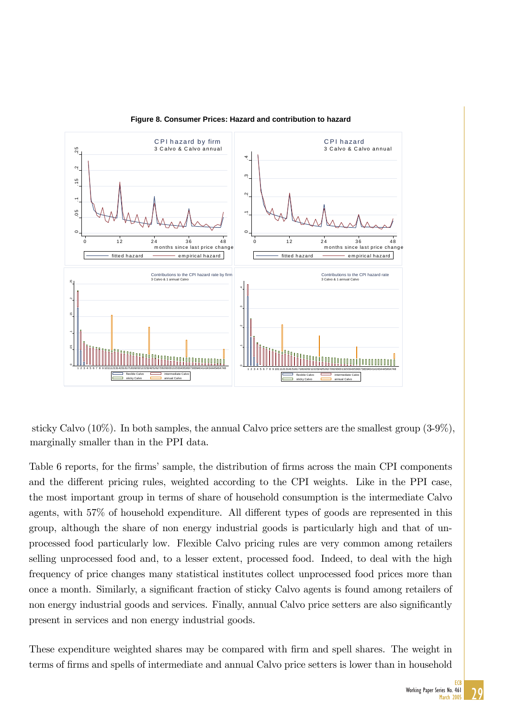

**Figure 8. Consumer Prices: Hazard and contribution to hazard**

marginally smaller than in the PPI data. sticky Calvo (10%). In both samples, the annual Calvo price setters are the smallest group (3-9%),

Table 6 reports, for the firms' sample, the distribution of firms across the main CPI components and the different pricing rules, weighted according to the CPI weights. Like in the PPI case, the most important group in terms of share of household consumption is the intermediate Calvo agents, with  $57\%$  of household expenditure. All different types of goods are represented in this group, although the share of non energy industrial goods is particularly high and that of unprocessed food particularly low. Flexible Calvo pricing rules are very common among retailers selling unprocessed food and, to a lesser extent, processed food. Indeed, to deal with the high frequency of price changes many statistical institutes collect unprocessed food prices more than once a month. Similarly, a significant fraction of sticky Calvo agents is found among retailers of non energy industrial goods and services. Finally, annual Calvo price setters are also significantly present in services and non energy industrial goods.

These expenditure weighted shares may be compared with firm and spell shares. The weight in terms of firms and spells of intermediate and annual Calvo price setters is lower than in household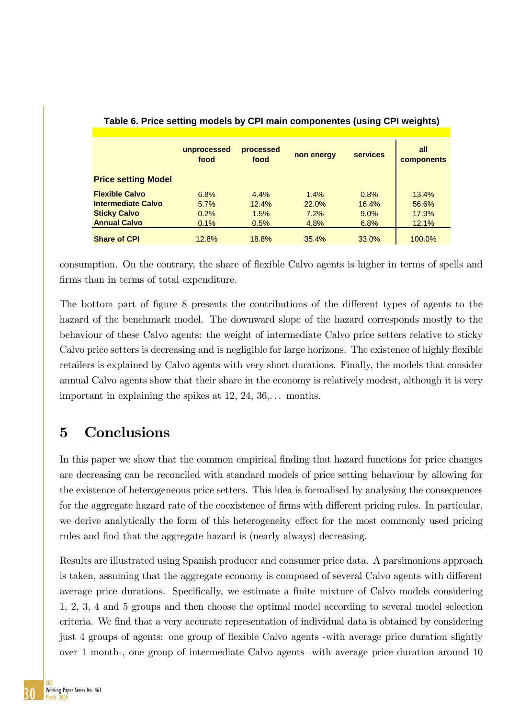|                            | unprocessed<br>food | processed<br>food | non energy | <b>services</b> | all<br><b>components</b> |
|----------------------------|---------------------|-------------------|------------|-----------------|--------------------------|
| <b>Price setting Model</b> |                     |                   |            |                 |                          |
| <b>Flexible Calvo</b>      | 6.8%                | 4.4%              | 1.4%       | 0.8%            | 13.4%                    |
| <b>Intermediate Calvo</b>  | 5.7%                | 12.4%             | 22.0%      | 16.4%           | 56.6%                    |
| <b>Sticky Calvo</b>        | 0.2%                | 1.5%              | 7.2%       | $9.0\%$         | 17.9%                    |
| <b>Annual Calvo</b>        | 0.1%                | 0.5%              | 4.8%       | 6.8%            | 12.1%                    |
| <b>Share of CPI</b>        | 12.8%               | 18.8%             | 35.4%      | 33.0%           | 100.0%                   |

### **Table 6. Price setting models by CPI main componentes (using CPI weights)**

consumption. On the contrary, the share of flexible Calvo agents is higher in terms of spells and firms than in terms of total expenditure.

The bottom part of figure 8 presents the contributions of the different types of agents to the hazard of the benchmark model. The downward slope of the hazard corresponds mostly to the behaviour of these Calvo agents: the weight of intermediate Calvo price setters relative to sticky Calvo price setters is decreasing and is negligible for large horizons. The existence of highly flexible retailers is explained by Calvo agents with very short durations. Finally, the models that consider annual Calvo agents show that their share in the economy is relatively modest, although it is very important in explaining the spikes at  $12, 24, 36, \ldots$  months.

# 5 Conclusions

In this paper we show that the common empirical Önding that hazard functions for price changes are decreasing can be reconciled with standard models of price setting behaviour by allowing for the existence of heterogeneous price setters. This idea is formalised by analysing the consequences for the aggregate hazard rate of the coexistence of firms with different pricing rules. In particular, we derive analytically the form of this heterogeneity effect for the most commonly used pricing rules and find that the aggregate hazard is (nearly always) decreasing.

Results are illustrated using Spanish producer and consumer price data. A parsimonious approach is taken, assuming that the aggregate economy is composed of several Calvo agents with different average price durations. Specifically, we estimate a finite mixture of Calvo models considering 1, 2, 3, 4 and 5 groups and then choose the optimal model according to several model selection criteria. We find that a very accurate representation of individual data is obtained by considering just 4 groups of agents: one group of áexible Calvo agents -with average price duration slightly over 1 month-, one group of intermediate Calvo agents -with average price duration around 10

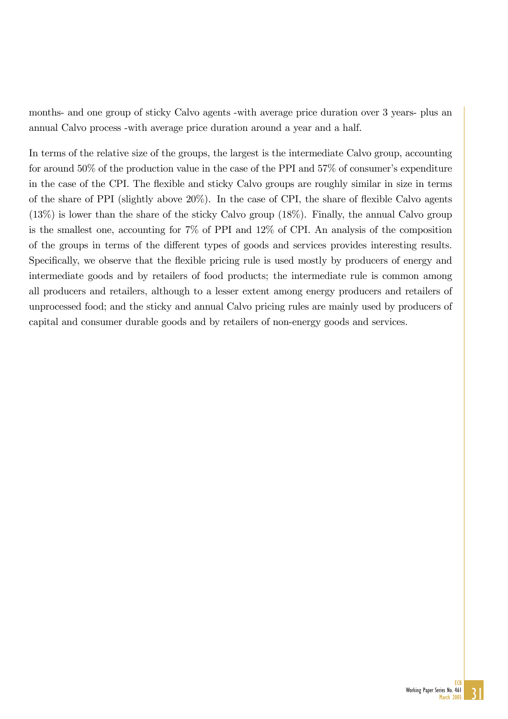months- and one group of sticky Calvo agents -with average price duration over 3 years- plus an annual Calvo process -with average price duration around a year and a half.

In terms of the relative size of the groups, the largest is the intermediate Calvo group, accounting for around  $50\%$  of the production value in the case of the PPI and  $57\%$  of consumer's expenditure in the case of the CPI. The flexible and sticky Calvo groups are roughly similar in size in terms of the share of PPI (slightly above  $20\%$ ). In the case of CPI, the share of flexible Calvo agents (13%) is lower than the share of the sticky Calvo group (18%). Finally, the annual Calvo group is the smallest one, accounting for 7% of PPI and 12% of CPI. An analysis of the composition of the groups in terms of the different types of goods and services provides interesting results. Specifically, we observe that the flexible pricing rule is used mostly by producers of energy and intermediate goods and by retailers of food products; the intermediate rule is common among all producers and retailers, although to a lesser extent among energy producers and retailers of unprocessed food; and the sticky and annual Calvo pricing rules are mainly used by producers of capital and consumer durable goods and by retailers of non-energy goods and services.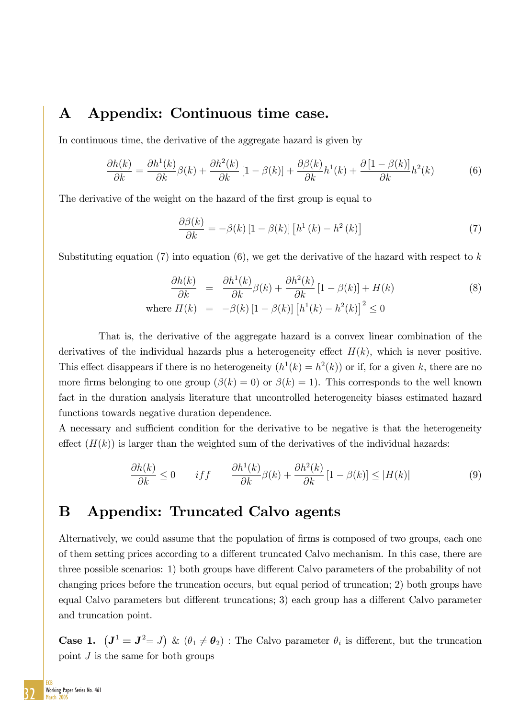# A Appendix: Continuous time case.

In continuous time, the derivative of the aggregate hazard is given by

$$
\frac{\partial h(k)}{\partial k} = \frac{\partial h^1(k)}{\partial k} \beta(k) + \frac{\partial h^2(k)}{\partial k} \left[ 1 - \beta(k) \right] + \frac{\partial \beta(k)}{\partial k} h^1(k) + \frac{\partial \left[ 1 - \beta(k) \right]}{\partial k} h^2(k) \tag{6}
$$

The derivative of the weight on the hazard of the first group is equal to

$$
\frac{\partial \beta(k)}{\partial k} = -\beta(k) \left[ 1 - \beta(k) \right] \left[ h^1(k) - h^2(k) \right] \tag{7}
$$

Substituting equation (7) into equation (6), we get the derivative of the hazard with respect to  $k$ 

$$
\frac{\partial h(k)}{\partial k} = \frac{\partial h^1(k)}{\partial k} \beta(k) + \frac{\partial h^2(k)}{\partial k} [1 - \beta(k)] + H(k)
$$
\n
$$
\text{where } H(k) = -\beta(k) [1 - \beta(k)] [h^1(k) - h^2(k)]^2 \le 0
$$
\n(8)

That is, the derivative of the aggregate hazard is a convex linear combination of the derivatives of the individual hazards plus a heterogeneity effect  $H(k)$ , which is never positive. This effect disappears if there is no heterogeneity  $(h^1(k) = h^2(k))$  or if, for a given k, there are no more firms belonging to one group  $(\beta(k) = 0)$  or  $\beta(k) = 1$ ). This corresponds to the well known fact in the duration analysis literature that uncontrolled heterogeneity biases estimated hazard functions towards negative duration dependence.

A necessary and sufficient condition for the derivative to be negative is that the heterogeneity effect  $(H(k))$  is larger than the weighted sum of the derivatives of the individual hazards:

$$
\frac{\partial h(k)}{\partial k} \le 0 \qquad if f \qquad \frac{\partial h^1(k)}{\partial k}\beta(k) + \frac{\partial h^2(k)}{\partial k} \left[1 - \beta(k)\right] \le |H(k)| \tag{9}
$$

## B Appendix: Truncated Calvo agents

Alternatively, we could assume that the population of firms is composed of two groups, each one of them setting prices according to a different truncated Calvo mechanism. In this case, there are three possible scenarios: 1) both groups have different Calvo parameters of the probability of not changing prices before the truncation occurs, but equal period of truncation; 2) both groups have equal Calvo parameters but different truncations; 3) each group has a different Calvo parameter and truncation point.

**Case 1.**  $(J^1 = J^2 = J)$  &  $(\theta_1 \neq \theta_2)$ : The Calvo parameter  $\theta_i$  is different, but the truncation point  $J$  is the same for both groups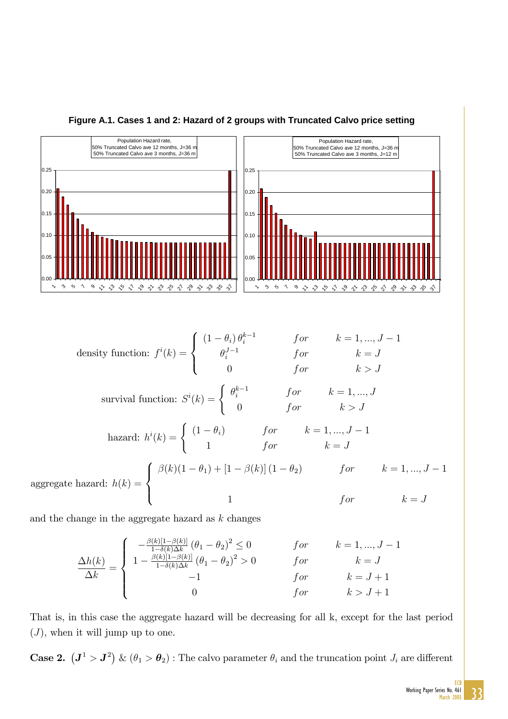

#### **Figure A.1. Cases 1 and 2: Hazard of 2 groups with Truncated Calvo price setting**

 $\Delta h(k)$  $\frac{m(n)}{\Delta k} =$  $\sqrt{2}$  $\Big\}$  $\vert$  $-\frac{\beta(k)[1-\beta(k)]}{1-\delta(k)\Delta k}(\theta_1-\theta_2)^2 \leq 0$  for  $k=1,...,J-1$  $1 - \frac{\beta(k)[1-\beta(k)]}{1-\delta(k)\Delta k} (\theta_1 - \theta_2)^2 > 0$  for  $k = J$  $-1$  for  $k = J + 1$ 0 for  $k > J + 1$ 

That is, in this case the aggregate hazard will be decreasing for all k, except for the last period  $(J)$ , when it will jump up to one.

**Case 2.**  $(J^1 > J^2)$  &  $(\theta_1 > \theta_2)$ : The calvo parameter  $\theta_i$  and the truncation point  $J_i$  are different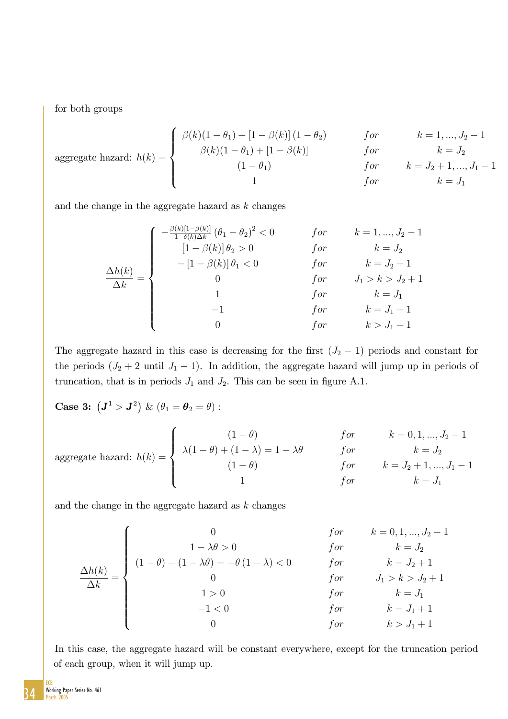for both groups

aggregate hazard: 
$$
h(k) = \begin{cases} \beta(k)(1 - \theta_1) + [1 - \beta(k)](1 - \theta_2) & \text{for} \\ \beta(k)(1 - \theta_1) + [1 - \beta(k)] & \text{for} \\ (1 - \theta_1) & \text{for} \\ 1 & \text{for} \end{cases} \quad k = J_2 + 1, \dots, J_1 - 1
$$

\nfor  $k = J_2 + 1, \dots, J_1 - 1$ 

\nfor  $k = J_2 + 1, \dots, J_1 - 1$ 

and the change in the aggregate hazard as  $k$  changes

$$
\frac{\Delta h(k)}{\Delta k} = \begin{cases}\n-\frac{\beta(k)[1-\beta(k)]}{1-\delta(k)\Delta k}(\theta_1 - \theta_2)^2 < 0 & \text{for} & k = 1, \dots, J_2 - 1 \\
[1-\beta(k)]\theta_2 > 0 & \text{for} & k = J_2 \\
-[1-\beta(k)]\theta_1 < 0 & \text{for} & k = J_2 + 1 \\
0 & \text{for} & J_1 > k > J_2 + 1 \\
1 & \text{for} & k = J_1 \\
-1 & \text{for} & k = J_1 + 1 \\
0 & \text{for} & k > J_1 + 1\n\end{cases}
$$

The aggregate hazard in this case is decreasing for the first  $(J_2 - 1)$  periods and constant for the periods  $(J_2 + 2 \text{ until } J_1 - 1)$ . In addition, the aggregate hazard will jump up in periods of truncation, that is in periods  $J_1$  and  $J_2$ . This can be seen in figure A.1.

**Case 3:**  $(\mathbf{J}^1 > \mathbf{J}^2) \& (\theta_1 = \theta_2 = \theta)$ :

aggregate hazard: 
$$
h(k) = \begin{cases} \n(1 - \theta) & \text{for} \\ \lambda(1 - \theta) + (1 - \lambda) = 1 - \lambda \theta & \text{for} \\ \n(1 - \theta) & \text{for} \\ \n1 & \text{for} \n\end{cases} \quad k = 0, 1, \ldots, J_2 - 1
$$

\nfor 
$$
k = J_2
$$

\nfor 
$$
k = J_2 + 1, \ldots, J_1 - 1
$$

\nfor 
$$
k = J_1
$$

and the change in the aggregate hazard as  $k$  changes

$$
\frac{\Delta h(k)}{\Delta k} = \begin{cases}\n0 & \text{for } k = 0, 1, ..., J_2 - 1 \\
1 - \lambda \theta > 0 \\
0 & \text{for } k = J_2 \\
0 & \text{for } J_1 > k > J_2 + 1 \\
1 > 0 \\
-1 < 0\n\end{cases}
$$
\n
$$
\frac{\Delta h(k)}{\Delta k} = \begin{cases}\n0 & \text{for } k = J_2 \\
0 & \text{for } J_1 > k > J_2 + 1 \\
k = J_1 \\
\text{for } k = J_1 + 1 \\
0 & \text{for } k > J_1 + 1\n\end{cases}
$$

In this case, the aggregate hazard will be constant everywhere, except for the truncation period of each group, when it will jump up.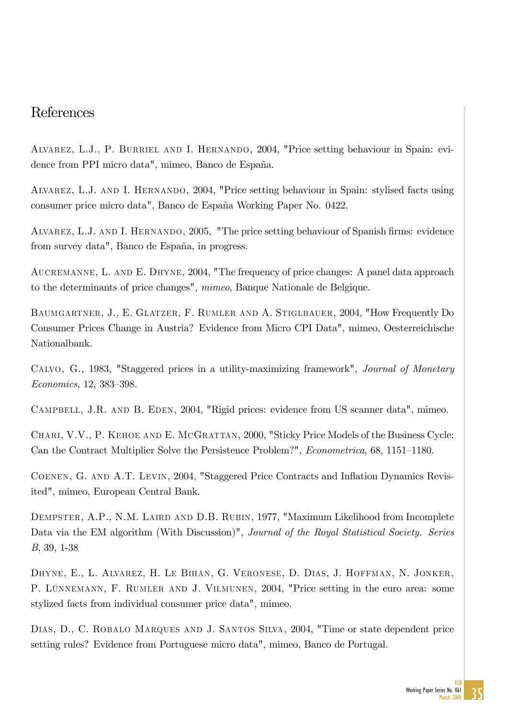## References

Alvarez, L.J., P. Burriel and I. Hernando, 2004, "Price setting behaviour in Spain: evidence from PPI micro data", mimeo, Banco de España.

Alvarez, L.J. and I. Hernando, 2004, "Price setting behaviour in Spain: stylised facts using consumer price micro data", Banco de España Working Paper No. 0422.

ALVAREZ, L.J. AND I. HERNANDO, 2005, "The price setting behaviour of Spanish firms: evidence from survey data", Banco de España, in progress.

AUCREMANNE, L. AND E. DHYNE, 2004, "The frequency of price changes: A panel data approach to the determinants of price changes", mimeo, Banque Nationale de Belgique.

Baumgartner, J., E. Glatzer, F. Rumler and A. Stiglbauer, 2004, "How Frequently Do Consumer Prices Change in Austria? Evidence from Micro CPI Data", mimeo, Oesterreichische Nationalbank.

Calvo, G., 1983, "Staggered prices in a utility-maximizing framework", Journal of Monetary  $Economics, 12, 383-398.$ 

CAMPBELL, J.R. AND B. EDEN, 2004, "Rigid prices: evidence from US scanner data", mimeo.

CHARI, V.V., P. KEHOE AND E. MCGRATTAN, 2000, "Sticky Price Models of the Business Cycle: Can the Contract Multiplier Solve the Persistence Problem?", *Econometrica*, 68, 1151–1180.

COENEN, G. AND A.T. LEVIN, 2004, "Staggered Price Contracts and Inflation Dynamics Revisited", mimeo, European Central Bank.

DEMPSTER, A.P., N.M. LAIRD AND D.B. RUBIN, 1977, "Maximum Likelihood from Incomplete Data via the EM algorithm (With Discussion)", Journal of the Royal Statistical Society. Series B, 39, 1-38

Dhyne, E., L. Alvarez, H. Le Bihan, G. Veronese, D. Dias, J. Hoffman, N. Jonker, P. LÜNNEMANN, F. RUMLER AND J. VILMUNEN, 2004, "Price setting in the euro area: some stylized facts from individual consumer price data", mimeo.

DIAS, D., C. ROBALO MARQUES AND J. SANTOS SILVA, 2004, "Time or state dependent price setting rules? Evidence from Portuguese micro data", mimeo, Banco de Portugal.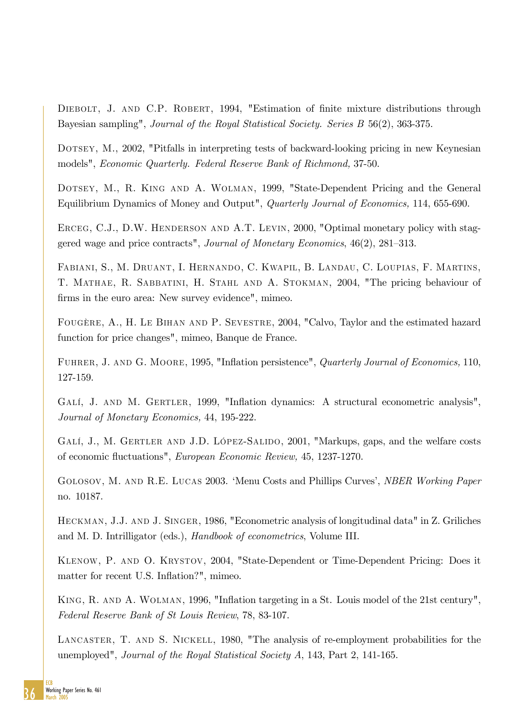DIEBOLT, J. AND C.P. ROBERT, 1994, "Estimation of finite mixture distributions through Bayesian sampling", Journal of the Royal Statistical Society. Series B 56(2), 363-375.

Dotsey, M., 2002, "Pitfalls in interpreting tests of backward-looking pricing in new Keynesian models", Economic Quarterly. Federal Reserve Bank of Richmond, 37-50.

Dotsey, M., R. King and A. Wolman, 1999, "State-Dependent Pricing and the General Equilibrium Dynamics of Money and Output", Quarterly Journal of Economics, 114, 655-690.

ERCEG, C.J., D.W. HENDERSON AND A.T. LEVIN, 2000, "Optimal monetary policy with staggered wage and price contracts", Journal of Monetary Economics,  $46(2)$ ,  $281-313$ .

Fabiani, S., M. Druant, I. Hernando, C. Kwapil, B. Landau, C. Loupias, F. Martins, T. Mathae, R. Sabbatini, H. Stahl and A. Stokman, 2004, "The pricing behaviour of firms in the euro area: New survey evidence", mimeo.

FougËre, A., H. Le Bihan and P. Sevestre, 2004, "Calvo, Taylor and the estimated hazard function for price changes", mimeo, Banque de France.

FUHRER, J. AND G. MOORE, 1995, "Inflation persistence", Quarterly Journal of Economics, 110, 127-159.

GALÍ, J. AND M. GERTLER, 1999, "Inflation dynamics: A structural econometric analysis", Journal of Monetary Economics, 44, 195-222.

GALÍ, J., M. GERTLER AND J.D. LÓPEZ-SALIDO, 2001, "Markups, gaps, and the welfare costs of economic áuctuations", European Economic Review, 45, 1237-1270.

GOLOSOV, M. AND R.E. LUCAS 2003. 'Menu Costs and Phillips Curves', *NBER Working Paper* no. 10187.

Heckman, J.J. and J. Singer, 1986, "Econometric analysis of longitudinal data" in Z. Griliches and M. D. Intrilligator (eds.), Handbook of econometrics, Volume III.

Klenow, P. and O. Krystov, 2004, "State-Dependent or Time-Dependent Pricing: Does it matter for recent U.S. Inflation?", mimeo.

KING, R. AND A. WOLMAN, 1996, "Inflation targeting in a St. Louis model of the 21st century", Federal Reserve Bank of St Louis Review, 78, 83-107.

LANCASTER, T. AND S. NICKELL, 1980, "The analysis of re-employment probabilities for the unemployed", Journal of the Royal Statistical Society A, 143, Part 2, 141-165.

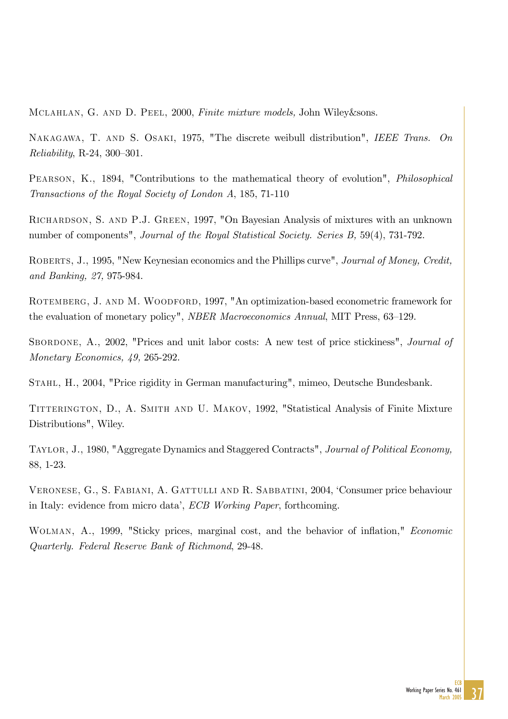Mclahlan, G. and D. Peel, 2000, Finite mixture models, John Wiley&sons.

NAKAGAWA, T. AND S. OSAKI, 1975, "The discrete weibull distribution", IEEE Trans. On  $Reliability, R-24, 300-301.$ 

PEARSON, K., 1894, "Contributions to the mathematical theory of evolution", *Philosophical* Transactions of the Royal Society of London A, 185, 71-110

Richardson, S. and P.J. Green, 1997, "On Bayesian Analysis of mixtures with an unknown number of components", *Journal of the Royal Statistical Society. Series B*, 59(4), 731-792.

ROBERTS, J., 1995, "New Keynesian economics and the Phillips curve", Journal of Money, Credit, and Banking, 27, 975-984.

ROTEMBERG, J. AND M. WOODFORD, 1997, "An optimization-based econometric framework for the evaluation of monetary policy", *NBER Macroeconomics Annual*, MIT Press, 63–129.

SBORDONE, A., 2002, "Prices and unit labor costs: A new test of price stickiness", *Journal of* Monetary Economics, 49, 265-292.

Stahl, H., 2004, "Price rigidity in German manufacturing", mimeo, Deutsche Bundesbank.

TITTERINGTON, D., A. SMITH AND U. MAKOV, 1992, "Statistical Analysis of Finite Mixture Distributions", Wiley.

Taylor, J., 1980, "Aggregate Dynamics and Staggered Contracts", Journal of Political Economy, 88, 1-23.

Veronese, G., S. Fabiani, A. Gattulli and R. Sabbatini, 2004, ëConsumer price behaviour in Italy: evidence from micro data', *ECB Working Paper*, forthcoming.

WOLMAN, A., 1999, "Sticky prices, marginal cost, and the behavior of inflation," *Economic* Quarterly. Federal Reserve Bank of Richmond, 29-48.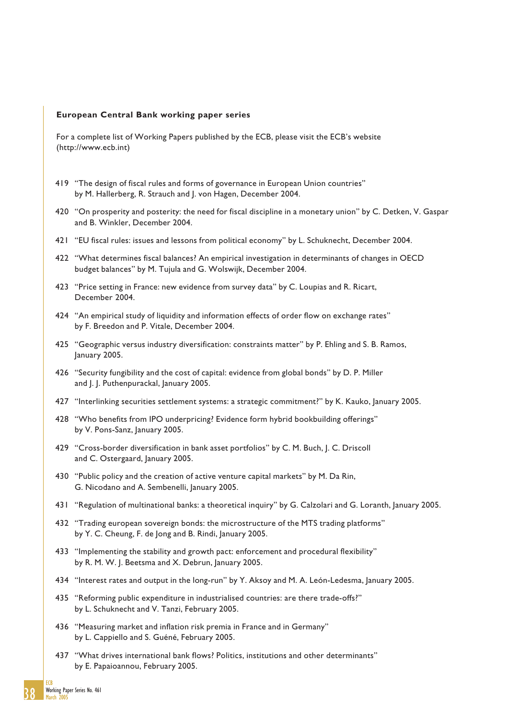#### **European Central Bank working paper series**

For a complete list of Working Papers published by the ECB, please visit the ECB's website (http://www.ecb.int)

- 419 "The design of fiscal rules and forms of governance in European Union countries" by M. Hallerberg, R. Strauch and I. von Hagen, December 2004.
- 420 "On prosperity and posterity: the need for fiscal discipline in a monetary union" by C. Detken, V. Gaspar and B. Winkler, December 2004.
- 421 "EU fiscal rules: issues and lessons from political economy" by L. Schuknecht, December 2004.
- 422 "What determines fiscal balances? An empirical investigation in determinants of changes in OECD budget balances" by M. Tujula and G. Wolswijk, December 2004.
- 423 "Price setting in France: new evidence from survey data" by C. Loupias and R. Ricart, December 2004.
- 424 "An empirical study of liquidity and information effects of order flow on exchange rates" by F. Breedon and P. Vitale, December 2004.
- 425 "Geographic versus industry diversification: constraints matter" by P. Ehling and S. B. Ramos, January 2005.
- 426 "Security fungibility and the cost of capital: evidence from global bonds" by D. P. Miller and I. I. Puthenpurackal, January 2005.
- 427 "Interlinking securities settlement systems: a strategic commitment?" by K. Kauko, January 2005.
- 428 "Who benefits from IPO underpricing? Evidence form hybrid bookbuilding offerings" by V. Pons-Sanz, January 2005.
- 429 "Cross-border diversification in bank asset portfolios" by C. M. Buch, J. C. Driscoll and C. Ostergaard, January 2005.
- 430 "Public policy and the creation of active venture capital markets" by M. Da Rin, G. Nicodano and A. Sembenelli, January 2005.
- 431 "Regulation of multinational banks: a theoretical inquiry" by G. Calzolari and G. Loranth, January 2005.
- 432 "Trading european sovereign bonds: the microstructure of the MTS trading platforms" by Y. C. Cheung, F. de Jong and B. Rindi, January 2005.
- 433 "Implementing the stability and growth pact: enforcement and procedural flexibility" by R. M. W. J. Beetsma and X. Debrun, January 2005.
- 434 "Interest rates and output in the long-run" by Y. Aksoy and M. A. León-Ledesma, January 2005.
- 435 "Reforming public expenditure in industrialised countries: are there trade-offs?" by L. Schuknecht and V. Tanzi, February 2005.
- 436 "Measuring market and inflation risk premia in France and in Germany" by L. Cappiello and S. Guéné, February 2005.
- 437 "What drives international bank flows? Politics, institutions and other determinants" by E. Papaioannou, February 2005.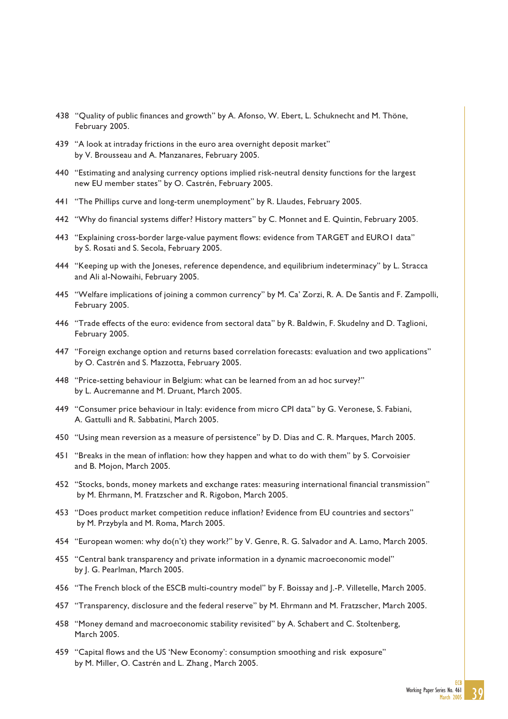- 438 "Quality of public finances and growth" by A. Afonso, W. Ebert, L. Schuknecht and M. Thöne, February 2005.
- 439 "A look at intraday frictions in the euro area overnight deposit market" by V. Brousseau and A. Manzanares, February 2005.
- 440 "Estimating and analysing currency options implied risk-neutral density functions for the largest new EU member states" by O. Castrén, February 2005.
- 441 "The Phillips curve and long-term unemployment" by R. Llaudes, February 2005.
- 442 "Why do financial systems differ? History matters" by C. Monnet and E. Quintin, February 2005.
- 443 "Explaining cross-border large-value payment flows: evidence from TARGET and EURO1 data" by S. Rosati and S. Secola, February 2005.
- 444 "Keeping up with the Joneses, reference dependence, and equilibrium indeterminacy" by L. Stracca and Ali al-Nowaihi, February 2005.
- 445 "Welfare implications of joining a common currency" by M. Ca' Zorzi, R. A. De Santis and F. Zampolli, February 2005.
- 446 "Trade effects of the euro: evidence from sectoral data" by R. Baldwin, F. Skudelny and D. Taglioni, February 2005.
- 447 "Foreign exchange option and returns based correlation forecasts: evaluation and two applications" by O. Castrén and S. Mazzotta, February 2005.
- 448 "Price-setting behaviour in Belgium: what can be learned from an ad hoc survey?" by L. Aucremanne and M. Druant, March 2005.
- 449 "Consumer price behaviour in Italy: evidence from micro CPI data" by G. Veronese, S. Fabiani, A. Gattulli and R. Sabbatini, March 2005.
- 450 "Using mean reversion as a measure of persistence" by D. Dias and C. R. Marques, March 2005.
- 451 "Breaks in the mean of inflation: how they happen and what to do with them" by S. Corvoisier and B. Mojon, March 2005.
- 452 "Stocks, bonds, money markets and exchange rates: measuring international financial transmission" by M. Ehrmann, M. Fratzscher and R. Rigobon, March 2005.
- 453 "Does product market competition reduce inflation? Evidence from EU countries and sectors" by M. Przybyla and M. Roma, March 2005.
- 454 "European women: why do(n't) they work?" by V. Genre, R. G. Salvador and A. Lamo, March 2005.
- 455 "Central bank transparency and private information in a dynamic macroeconomic model" by J. G. Pearlman, March 2005.
- 456 "The French block of the ESCB multi-country model" by F. Boissay and J.-P. Villetelle, March 2005.
- 457 "Transparency, disclosure and the federal reserve" by M. Ehrmann and M. Fratzscher, March 2005.
- 458 "Money demand and macroeconomic stability revisited" by A. Schabert and C. Stoltenberg, March 2005.
- 459 "Capital flows and the US 'New Economy': consumption smoothing and risk exposure"by M. Miller, O. Castrén and L. Zhang , March 2005.